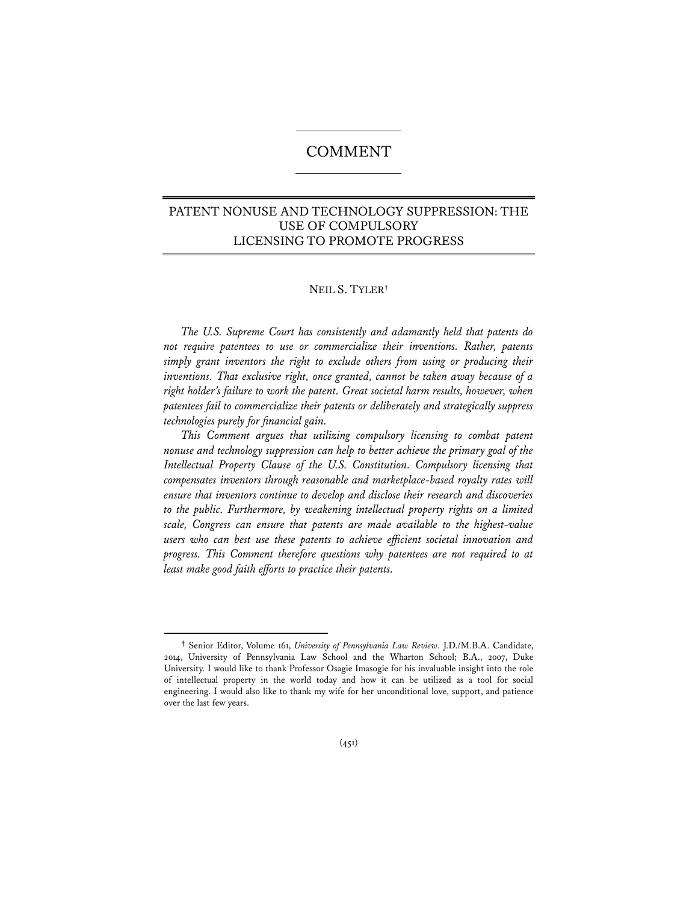# COMMENT

# PATENT NONUSE AND TECHNOLOGY SUPPRESSION: THE USE OF COMPULSORY LICENSING TO PROMOTE PROGRESS

# NEIL S. TYLER**†**

*The U.S. Supreme Court has consistently and adamantly held that patents do not require patentees to use or commercialize their inventions. Rather, patents simply grant inventors the right to exclude others from using or producing their inventions. That exclusive right, once granted, cannot be taken away because of a right holder's failure to work the patent. Great societal harm results, however, when patentees fail to commercialize their patents or deliberately and strategically suppress technologies purely for financial gain.*

*This Comment argues that utilizing compulsory licensing to combat patent nonuse and technology suppression can help to better achieve the primary goal of the Intellectual Property Clause of the U.S. Constitution. Compulsory licensing that compensates inventors through reasonable and marketplace-based royalty rates will ensure that inventors continue to develop and disclose their research and discoveries to the public. Furthermore, by weakening intellectual property rights on a limited scale, Congress can ensure that patents are made available to the highest-value users who can best use these patents to achieve efficient societal innovation and progress. This Comment therefore questions why patentees are not required to at least make good faith efforts to practice their patents.* 

**<sup>†</sup>** Senior Editor, Volume 161, *University of Pennsylvania Law Review*. J.D./M.B.A. Candidate, 2014, University of Pennsylvania Law School and the Wharton School; B.A., 2007, Duke University. I would like to thank Professor Osagie Imasogie for his invaluable insight into the role of intellectual property in the world today and how it can be utilized as a tool for social engineering. I would also like to thank my wife for her unconditional love, support, and patience over the last few years.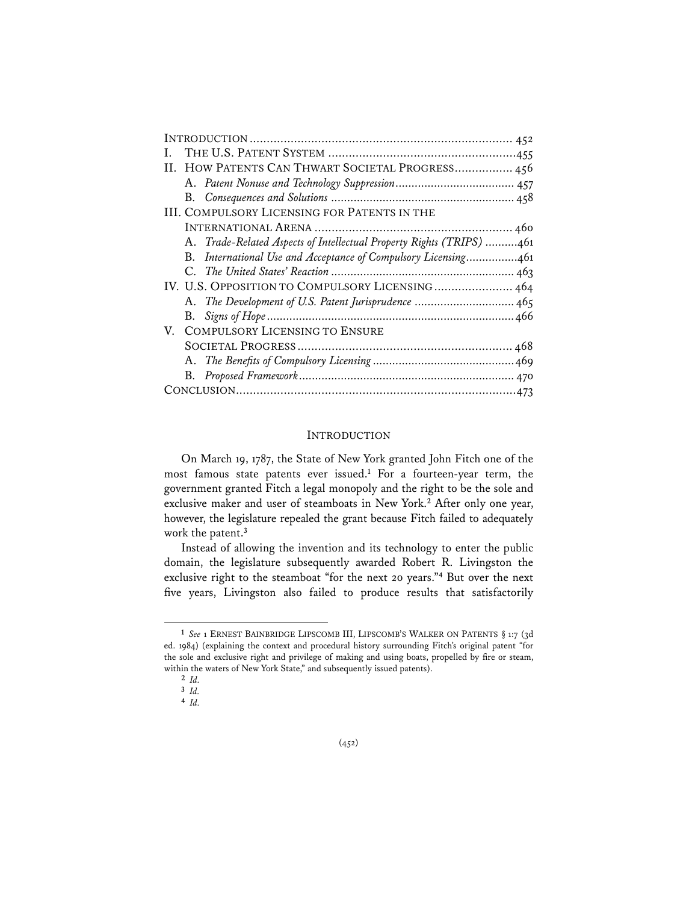| HOW PATENTS CAN THWART SOCIETAL PROGRESS 456<br>H.                   |
|----------------------------------------------------------------------|
|                                                                      |
|                                                                      |
| <b>III. COMPULSORY LICENSING FOR PATENTS IN THE</b>                  |
|                                                                      |
| A. Trade-Related Aspects of Intellectual Property Rights (TRIPS) 461 |
| B. International Use and Acceptance of Compulsory Licensing461       |
|                                                                      |
| IV. U.S. OPPOSITION TO COMPULSORY LICENSING 464                      |
| A. The Development of U.S. Patent Jurisprudence  465                 |
| В.                                                                   |
| V. COMPULSORY LICENSING TO ENSURE                                    |
|                                                                      |
|                                                                      |
|                                                                      |
|                                                                      |

### **INTRODUCTION**

 On March 19, 1787, the State of New York granted John Fitch one of the most famous state patents ever issued.**<sup>1</sup>** For a fourteen-year term, the government granted Fitch a legal monopoly and the right to be the sole and exclusive maker and user of steamboats in New York.**<sup>2</sup>** After only one year, however, the legislature repealed the grant because Fitch failed to adequately work the patent.**<sup>3</sup>**

Instead of allowing the invention and its technology to enter the public domain, the legislature subsequently awarded Robert R. Livingston the exclusive right to the steamboat "for the next 20 years."**<sup>4</sup>** But over the next five years, Livingston also failed to produce results that satisfactorily

**<sup>1</sup>** *See* 1 ERNEST BAINBRIDGE LIPSCOMB III, LIPSCOMB'S WALKER ON PATENTS § 1:7 (3d ed. 1984) (explaining the context and procedural history surrounding Fitch's original patent "for the sole and exclusive right and privilege of making and using boats, propelled by fire or steam, within the waters of New York State," and subsequently issued patents).

**<sup>2</sup>** *Id.*

**<sup>3</sup>** *Id.*

**<sup>4</sup>** *Id.*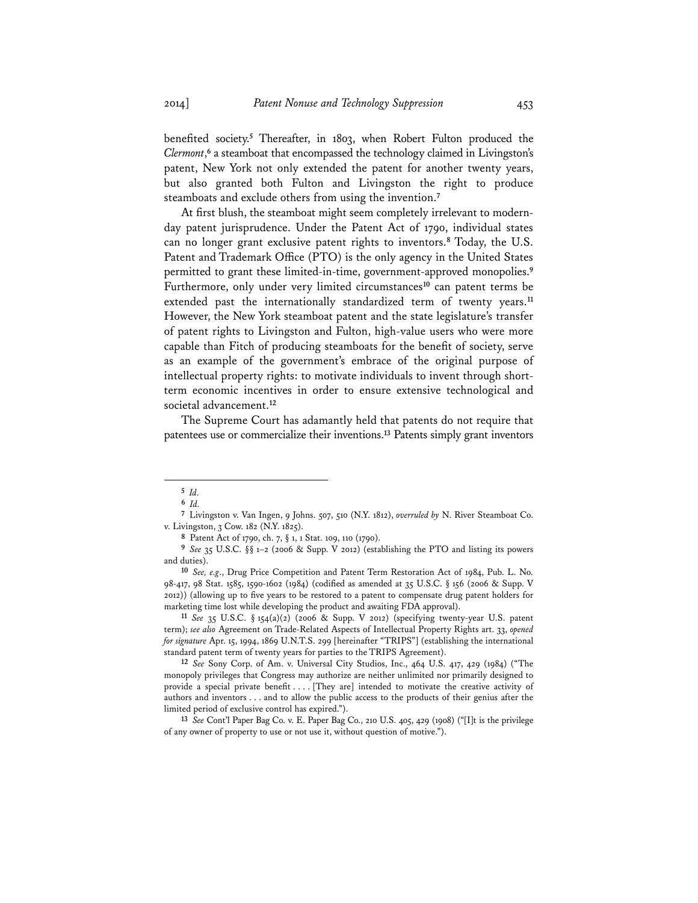benefited society.**<sup>5</sup>** Thereafter, in 1803, when Robert Fulton produced the *Clermont*, **<sup>6</sup>** a steamboat that encompassed the technology claimed in Livingston's patent, New York not only extended the patent for another twenty years, but also granted both Fulton and Livingston the right to produce steamboats and exclude others from using the invention.**<sup>7</sup>**

At first blush, the steamboat might seem completely irrelevant to modernday patent jurisprudence. Under the Patent Act of 1790, individual states can no longer grant exclusive patent rights to inventors.**<sup>8</sup>** Today, the U.S. Patent and Trademark Office (PTO) is the only agency in the United States permitted to grant these limited-in-time, government-approved monopolies.**<sup>9</sup>** Furthermore, only under very limited circumstances**<sup>10</sup>** can patent terms be extended past the internationally standardized term of twenty years.**<sup>11</sup>** However, the New York steamboat patent and the state legislature's transfer of patent rights to Livingston and Fulton, high-value users who were more capable than Fitch of producing steamboats for the benefit of society, serve as an example of the government's embrace of the original purpose of intellectual property rights: to motivate individuals to invent through shortterm economic incentives in order to ensure extensive technological and societal advancement.**<sup>12</sup>**

The Supreme Court has adamantly held that patents do not require that patentees use or commercialize their inventions.**<sup>13</sup>** Patents simply grant inventors

**11** *See* 35 U.S.C. § 154(a)(2) (2006 & Supp. V 2012) (specifying twenty-year U.S. patent term); *see also* Agreement on Trade-Related Aspects of Intellectual Property Rights art. 33, *opened for signature* Apr. 15, 1994, 1869 U.N.T.S. 299 [hereinafter "TRIPS"] (establishing the international standard patent term of twenty years for parties to the TRIPS Agreement).

**12** *See* Sony Corp. of Am. v. Universal City Studios, Inc., 464 U.S. 417, 429 (1984) ("The monopoly privileges that Congress may authorize are neither unlimited nor primarily designed to provide a special private benefit . . . . [They are] intended to motivate the creative activity of authors and inventors . . . and to allow the public access to the products of their genius after the limited period of exclusive control has expired.").

**13** *See* Cont'l Paper Bag Co. v. E. Paper Bag Co., 210 U.S. 405, 429 (1908) ("[I]t is the privilege of any owner of property to use or not use it, without question of motive.").

**<sup>5</sup>** *Id.*

**<sup>6</sup>** *Id.* 

**<sup>7</sup>** Livingston v. Van Ingen, 9 Johns. 507, 510 (N.Y. 1812), *overruled by* N. River Steamboat Co. v. Livingston, 3 Cow. 182 (N.Y. 1825).

**<sup>8</sup>** Patent Act of 1790, ch. 7, § 1, 1 Stat. 109, 110 (1790).

**<sup>9</sup>** *See* 35 U.S.C. §§ 1–2 (2006 & Supp. V 2012) (establishing the PTO and listing its powers and duties).

**<sup>10</sup>** *See, e.g*., Drug Price Competition and Patent Term Restoration Act of 1984, Pub. L. No. 98-417, 98 Stat. 1585, 1590-1602 (1984) (codified as amended at 35 U.S.C. § 156 (2006 & Supp. V 2012)) (allowing up to five years to be restored to a patent to compensate drug patent holders for marketing time lost while developing the product and awaiting FDA approval).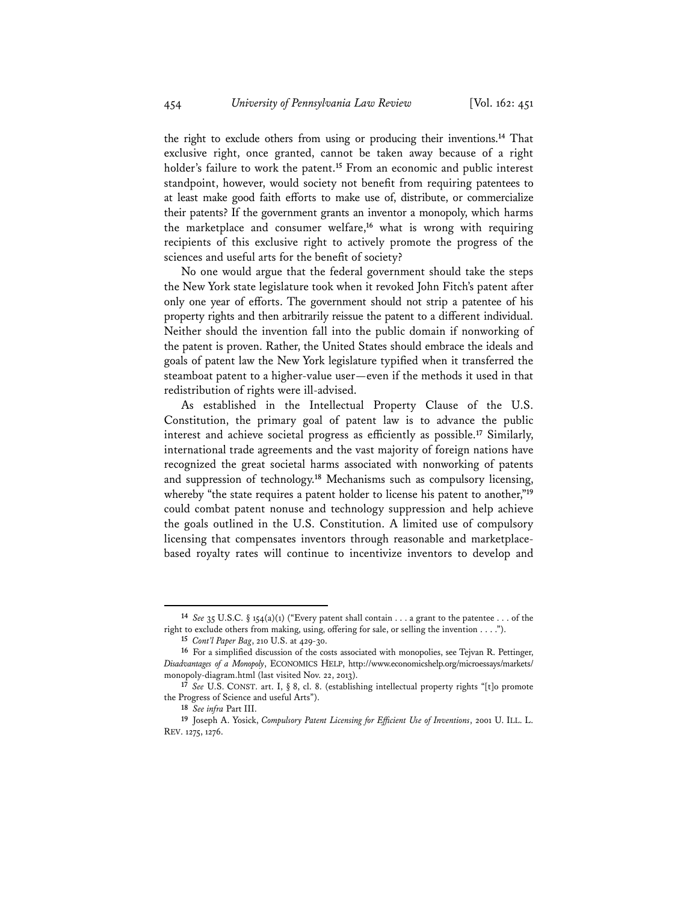the right to exclude others from using or producing their inventions.**<sup>14</sup>** That exclusive right, once granted, cannot be taken away because of a right holder's failure to work the patent.**<sup>15</sup>** From an economic and public interest standpoint, however, would society not benefit from requiring patentees to at least make good faith efforts to make use of, distribute, or commercialize their patents? If the government grants an inventor a monopoly, which harms the marketplace and consumer welfare,**<sup>16</sup>** what is wrong with requiring recipients of this exclusive right to actively promote the progress of the sciences and useful arts for the benefit of society?

No one would argue that the federal government should take the steps the New York state legislature took when it revoked John Fitch's patent after only one year of efforts. The government should not strip a patentee of his property rights and then arbitrarily reissue the patent to a different individual. Neither should the invention fall into the public domain if nonworking of the patent is proven. Rather, the United States should embrace the ideals and goals of patent law the New York legislature typified when it transferred the steamboat patent to a higher-value user—even if the methods it used in that redistribution of rights were ill-advised.

As established in the Intellectual Property Clause of the U.S. Constitution, the primary goal of patent law is to advance the public interest and achieve societal progress as efficiently as possible.**<sup>17</sup>** Similarly, international trade agreements and the vast majority of foreign nations have recognized the great societal harms associated with nonworking of patents and suppression of technology.**<sup>18</sup>** Mechanisms such as compulsory licensing, whereby "the state requires a patent holder to license his patent to another,"**<sup>19</sup>** could combat patent nonuse and technology suppression and help achieve the goals outlined in the U.S. Constitution. A limited use of compulsory licensing that compensates inventors through reasonable and marketplacebased royalty rates will continue to incentivize inventors to develop and

**<sup>14</sup>** *See* 35 U.S.C. § 154(a)(1) ("Every patent shall contain . . . a grant to the patentee . . . of the right to exclude others from making, using, offering for sale, or selling the invention . . . .").

**<sup>15</sup>** *Cont'l Paper Bag*, 210 U.S. at 429-30.

**<sup>16</sup>** For a simplified discussion of the costs associated with monopolies, see Tejvan R. Pettinger, *Disadvantages of a Monopoly*, ECONOMICS HELP, http://www.economicshelp.org/microessays/markets/ monopoly-diagram.html (last visited Nov. 22, 2013).

**<sup>17</sup>** *See* U.S. CONST. art. I, § 8, cl. 8. (establishing intellectual property rights "[t]o promote the Progress of Science and useful Arts").

**<sup>18</sup>** *See infra* Part III.

**<sup>19</sup>** Joseph A. Yosick, *Compulsory Patent Licensing for Efficient Use of Inventions*, 2001 U. ILL. L. REV. 1275, 1276.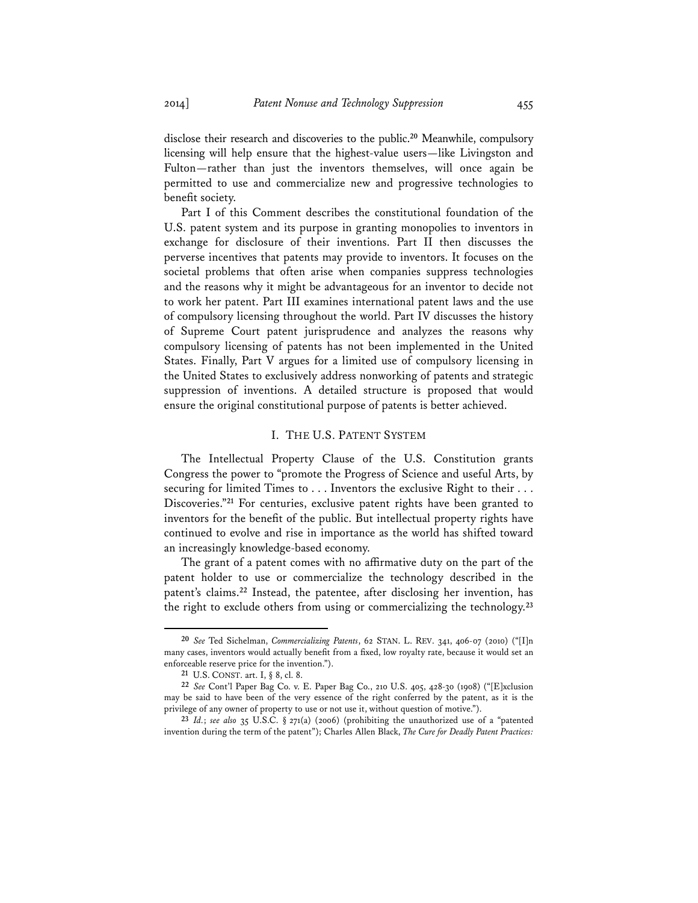disclose their research and discoveries to the public.**<sup>20</sup>** Meanwhile, compulsory licensing will help ensure that the highest-value users—like Livingston and Fulton—rather than just the inventors themselves, will once again be permitted to use and commercialize new and progressive technologies to benefit society.

Part I of this Comment describes the constitutional foundation of the U.S. patent system and its purpose in granting monopolies to inventors in exchange for disclosure of their inventions. Part II then discusses the perverse incentives that patents may provide to inventors. It focuses on the societal problems that often arise when companies suppress technologies and the reasons why it might be advantageous for an inventor to decide not to work her patent. Part III examines international patent laws and the use of compulsory licensing throughout the world. Part IV discusses the history of Supreme Court patent jurisprudence and analyzes the reasons why compulsory licensing of patents has not been implemented in the United States. Finally, Part V argues for a limited use of compulsory licensing in the United States to exclusively address nonworking of patents and strategic suppression of inventions. A detailed structure is proposed that would ensure the original constitutional purpose of patents is better achieved.

### I. THE U.S. PATENT SYSTEM

The Intellectual Property Clause of the U.S. Constitution grants Congress the power to "promote the Progress of Science and useful Arts, by securing for limited Times to . . . Inventors the exclusive Right to their . . . Discoveries."**<sup>21</sup>** For centuries, exclusive patent rights have been granted to inventors for the benefit of the public. But intellectual property rights have continued to evolve and rise in importance as the world has shifted toward an increasingly knowledge-based economy.

The grant of a patent comes with no affirmative duty on the part of the patent holder to use or commercialize the technology described in the patent's claims.**<sup>22</sup>** Instead, the patentee, after disclosing her invention, has the right to exclude others from using or commercializing the technology.**<sup>23</sup>**

**<sup>20</sup>** *See* Ted Sichelman, *Commercializing Patents*, 62 STAN. L. REV. 341, 406-07 (2010) ("[I]n many cases, inventors would actually benefit from a fixed, low royalty rate, because it would set an enforceable reserve price for the invention.").

**<sup>21</sup>** U.S. CONST. art. I, § 8, cl. 8.

**<sup>22</sup>** *See* Cont'l Paper Bag Co. v. E. Paper Bag Co., 210 U.S. 405, 428-30 (1908) ("[E]xclusion may be said to have been of the very essence of the right conferred by the patent, as it is the privilege of any owner of property to use or not use it, without question of motive.").

**<sup>23</sup>** *Id.*; *see also* 35 U.S.C. § 271(a) (2006) (prohibiting the unauthorized use of a "patented invention during the term of the patent"); Charles Allen Black, *The Cure for Deadly Patent Practices:*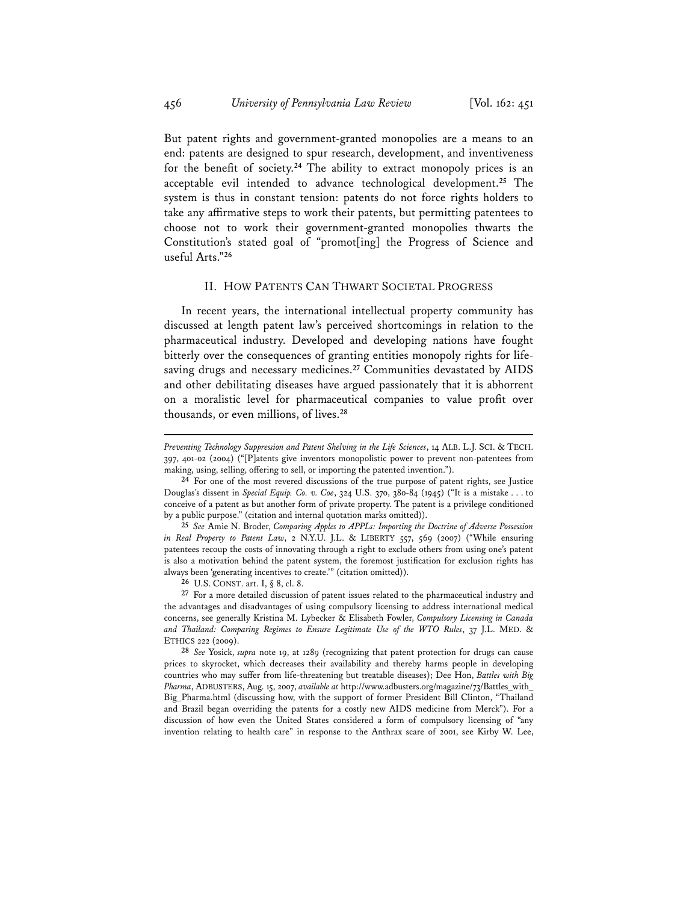But patent rights and government-granted monopolies are a means to an end: patents are designed to spur research, development, and inventiveness for the benefit of society.**<sup>24</sup>** The ability to extract monopoly prices is an acceptable evil intended to advance technological development.**<sup>25</sup>** The system is thus in constant tension: patents do not force rights holders to take any affirmative steps to work their patents, but permitting patentees to choose not to work their government-granted monopolies thwarts the Constitution's stated goal of "promot[ing] the Progress of Science and useful Arts."**<sup>26</sup>**

#### II. HOW PATENTS CAN THWART SOCIETAL PROGRESS

In recent years, the international intellectual property community has discussed at length patent law's perceived shortcomings in relation to the pharmaceutical industry. Developed and developing nations have fought bitterly over the consequences of granting entities monopoly rights for lifesaving drugs and necessary medicines.**<sup>27</sup>** Communities devastated by AIDS and other debilitating diseases have argued passionately that it is abhorrent on a moralistic level for pharmaceutical companies to value profit over thousands, or even millions, of lives.**<sup>28</sup>**

**25** *See* Amie N. Broder, *Comparing Apples to APPLs: Importing the Doctrine of Adverse Possession in Real Property to Patent Law*, 2 N.Y.U. J.L. & LIBERTY 557, 569 (2007) ("While ensuring patentees recoup the costs of innovating through a right to exclude others from using one's patent is also a motivation behind the patent system, the foremost justification for exclusion rights has always been 'generating incentives to create.'" (citation omitted)).

**26** U.S. CONST. art. I, § 8, cl. 8.

**27** For a more detailed discussion of patent issues related to the pharmaceutical industry and the advantages and disadvantages of using compulsory licensing to address international medical concerns, see generally Kristina M. Lybecker & Elisabeth Fowler, *Compulsory Licensing in Canada and Thailand: Comparing Regimes to Ensure Legitimate Use of the WTO Rules*, 37 J.L. MED. & ETHICS 222 (2009).

**28** *See* Yosick, *supra* note 19, at 1289 (recognizing that patent protection for drugs can cause prices to skyrocket, which decreases their availability and thereby harms people in developing countries who may suffer from life-threatening but treatable diseases); Dee Hon, *Battles with Big Pharma*, ADBUSTERS, Aug. 15, 2007, *available at* http://www.adbusters.org/magazine/73/Battles\_with\_ Big\_Pharma.html (discussing how, with the support of former President Bill Clinton, "Thailand and Brazil began overriding the patents for a costly new AIDS medicine from Merck"). For a discussion of how even the United States considered a form of compulsory licensing of "any invention relating to health care" in response to the Anthrax scare of 2001, see Kirby W. Lee,

*Preventing Technology Suppression and Patent Shelving in the Life Sciences*, 14 ALB. L.J. SCI. & TECH. 397, 401-02 (2004) ("[P]atents give inventors monopolistic power to prevent non-patentees from making, using, selling, offering to sell, or importing the patented invention.").

**<sup>24</sup>** For one of the most revered discussions of the true purpose of patent rights, see Justice Douglas's dissent in *Special Equip. Co. v. Coe*, 324 U.S. 370, 380-84 (1945) ("It is a mistake . . . to conceive of a patent as but another form of private property. The patent is a privilege conditioned by a public purpose." (citation and internal quotation marks omitted)).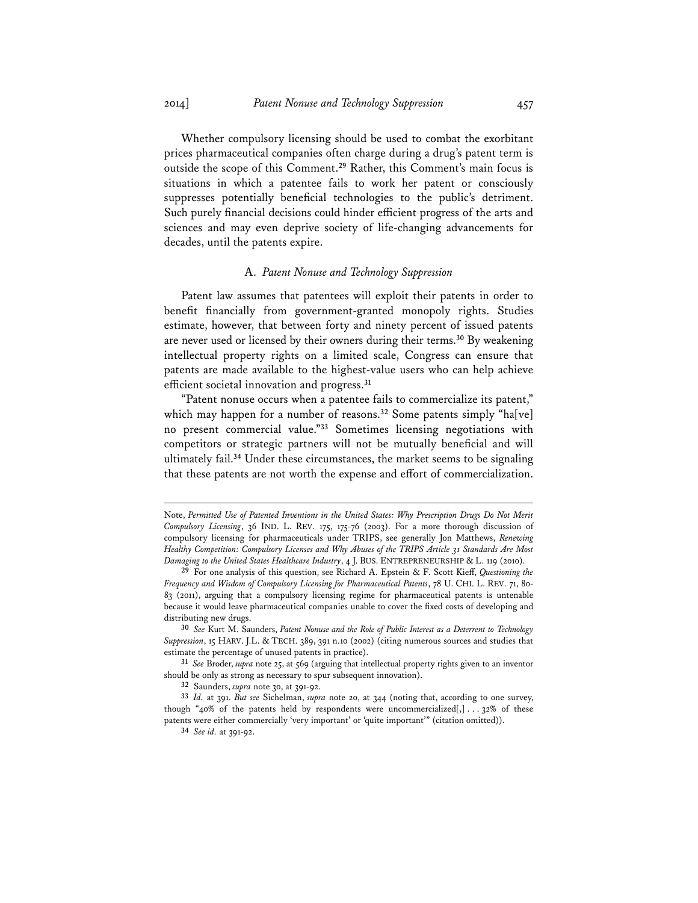Whether compulsory licensing should be used to combat the exorbitant prices pharmaceutical companies often charge during a drug's patent term is outside the scope of this Comment.**<sup>29</sup>** Rather, this Comment's main focus is situations in which a patentee fails to work her patent or consciously suppresses potentially beneficial technologies to the public's detriment. Such purely financial decisions could hinder efficient progress of the arts and sciences and may even deprive society of life-changing advancements for decades, until the patents expire.

#### A. *Patent Nonuse and Technology Suppression*

Patent law assumes that patentees will exploit their patents in order to benefit financially from government-granted monopoly rights. Studies estimate, however, that between forty and ninety percent of issued patents are never used or licensed by their owners during their terms.**<sup>30</sup>** By weakening intellectual property rights on a limited scale, Congress can ensure that patents are made available to the highest-value users who can help achieve efficient societal innovation and progress.**<sup>31</sup>**

"Patent nonuse occurs when a patentee fails to commercialize its patent," which may happen for a number of reasons.<sup>32</sup> Some patents simply "ha[ve] no present commercial value."**<sup>33</sup>** Sometimes licensing negotiations with competitors or strategic partners will not be mutually beneficial and will ultimately fail.**<sup>34</sup>** Under these circumstances, the market seems to be signaling that these patents are not worth the expense and effort of commercialization.

Note, *Permitted Use of Patented Inventions in the United States: Why Prescription Drugs Do Not Merit Compulsory Licensing*, 36 IND. L. REV. 175, 175-76 (2003). For a more thorough discussion of compulsory licensing for pharmaceuticals under TRIPS, see generally Jon Matthews, *Renewing Healthy Competition: Compulsory Licenses and Why Abuses of the TRIPS Article 31 Standards Are Most Damaging to the United States Healthcare Industry*, 4 J. BUS. ENTREPRENEURSHIP & L. 119 (2010).

**<sup>29</sup>** For one analysis of this question, see Richard A. Epstein & F. Scott Kieff, *Questioning the Frequency and Wisdom of Compulsory Licensing for Pharmaceutical Patents*, 78 U. CHI. L. REV. 71, 80- 83 (2011), arguing that a compulsory licensing regime for pharmaceutical patents is untenable because it would leave pharmaceutical companies unable to cover the fixed costs of developing and distributing new drugs.

**<sup>30</sup>** *See* Kurt M. Saunders, *Patent Nonuse and the Role of Public Interest as a Deterrent to Technology Suppression*, 15 HARV. J.L. & TECH. 389, 391 n.10 (2002) (citing numerous sources and studies that estimate the percentage of unused patents in practice).

**<sup>31</sup>** *See* Broder, *supra* note 25, at 569 (arguing that intellectual property rights given to an inventor should be only as strong as necessary to spur subsequent innovation).

**<sup>32</sup>** Saunders, *supra* note 30, at 391-92.

**<sup>33</sup>** *Id.* at 391. *But see* Sichelman, *supra* note 20, at 344 (noting that, according to one survey, though "40% of the patents held by respondents were uncommercialized[,] . . . 32% of these patents were either commercially 'very important' or 'quite important'" (citation omitted)).

**<sup>34</sup>** *See id.* at 391-92.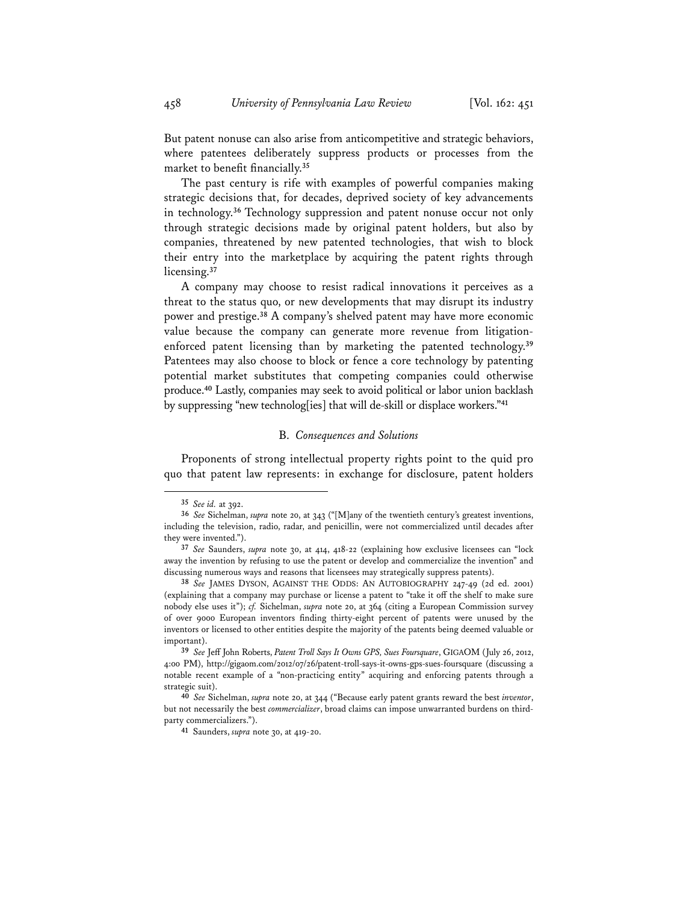But patent nonuse can also arise from anticompetitive and strategic behaviors, where patentees deliberately suppress products or processes from the market to benefit financially.**<sup>35</sup>**

The past century is rife with examples of powerful companies making strategic decisions that, for decades, deprived society of key advancements in technology.**<sup>36</sup>** Technology suppression and patent nonuse occur not only through strategic decisions made by original patent holders, but also by companies, threatened by new patented technologies, that wish to block their entry into the marketplace by acquiring the patent rights through licensing.**<sup>37</sup>**

A company may choose to resist radical innovations it perceives as a threat to the status quo, or new developments that may disrupt its industry power and prestige.**<sup>38</sup>** A company's shelved patent may have more economic value because the company can generate more revenue from litigationenforced patent licensing than by marketing the patented technology.**<sup>39</sup>** Patentees may also choose to block or fence a core technology by patenting potential market substitutes that competing companies could otherwise produce.**<sup>40</sup>** Lastly, companies may seek to avoid political or labor union backlash by suppressing "new technolog[ies] that will de-skill or displace workers."**<sup>41</sup>**

#### B. *Consequences and Solutions*

Proponents of strong intellectual property rights point to the quid pro quo that patent law represents: in exchange for disclosure, patent holders

**<sup>35</sup>** *See id.* at 392.

**<sup>36</sup>** *See* Sichelman, *supra* note 20, at 343 ("[M]any of the twentieth century's greatest inventions, including the television, radio, radar, and penicillin, were not commercialized until decades after they were invented.").

**<sup>37</sup>** *See* Saunders, *supra* note 30, at 414, 418-22 (explaining how exclusive licensees can "lock away the invention by refusing to use the patent or develop and commercialize the invention" and discussing numerous ways and reasons that licensees may strategically suppress patents).

**<sup>38</sup>** *See* JAMES DYSON, AGAINST THE ODDS: AN AUTOBIOGRAPHY 247-49 (2d ed. 2001) (explaining that a company may purchase or license a patent to "take it off the shelf to make sure nobody else uses it"); *cf.* Sichelman, *supra* note 20, at 364 (citing a European Commission survey of over 9000 European inventors finding thirty-eight percent of patents were unused by the inventors or licensed to other entities despite the majority of the patents being deemed valuable or important).

**<sup>39</sup>** *See* Jeff John Roberts, *Patent Troll Says It Owns GPS, Sues Foursquare*, GIGAOM (July 26, 2012, 4:00 PM), http://gigaom.com/2012/07/26/patent-troll-says-it-owns-gps-sues-foursquare (discussing a notable recent example of a "non-practicing entity" acquiring and enforcing patents through a strategic suit).

**<sup>40</sup>** *See* Sichelman, *supra* note 20, at 344 ("Because early patent grants reward the best *inventor*, but not necessarily the best *commercializer*, broad claims can impose unwarranted burdens on thirdparty commercializers.").

**<sup>41</sup>** Saunders, *supra* note 30, at 419-20.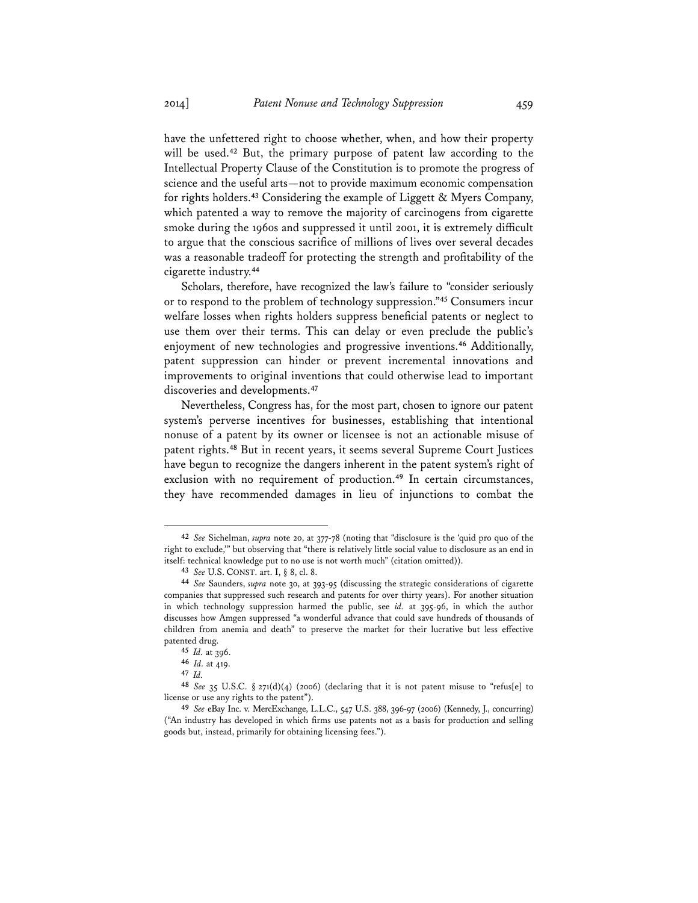have the unfettered right to choose whether, when, and how their property will be used.**<sup>42</sup>** But, the primary purpose of patent law according to the Intellectual Property Clause of the Constitution is to promote the progress of science and the useful arts—not to provide maximum economic compensation for rights holders.**<sup>43</sup>** Considering the example of Liggett & Myers Company, which patented a way to remove the majority of carcinogens from cigarette smoke during the 1960s and suppressed it until 2001, it is extremely difficult to argue that the conscious sacrifice of millions of lives over several decades was a reasonable tradeoff for protecting the strength and profitability of the cigarette industry.**<sup>44</sup>**

Scholars, therefore, have recognized the law's failure to "consider seriously or to respond to the problem of technology suppression."**<sup>45</sup>** Consumers incur welfare losses when rights holders suppress beneficial patents or neglect to use them over their terms. This can delay or even preclude the public's enjoyment of new technologies and progressive inventions.**<sup>46</sup>** Additionally, patent suppression can hinder or prevent incremental innovations and improvements to original inventions that could otherwise lead to important discoveries and developments.**<sup>47</sup>**

Nevertheless, Congress has, for the most part, chosen to ignore our patent system's perverse incentives for businesses, establishing that intentional nonuse of a patent by its owner or licensee is not an actionable misuse of patent rights.**<sup>48</sup>** But in recent years, it seems several Supreme Court Justices have begun to recognize the dangers inherent in the patent system's right of exclusion with no requirement of production.**<sup>49</sup>** In certain circumstances, they have recommended damages in lieu of injunctions to combat the

**<sup>42</sup>** *See* Sichelman, *supra* note 20, at 377-78 (noting that "disclosure is the 'quid pro quo of the right to exclude,'" but observing that "there is relatively little social value to disclosure as an end in itself: technical knowledge put to no use is not worth much" (citation omitted)).

**<sup>43</sup>** *See* U.S. CONST. art. I, § 8, cl. 8.

**<sup>44</sup>** *See* Saunders, *supra* note 30, at 393-95 (discussing the strategic considerations of cigarette companies that suppressed such research and patents for over thirty years). For another situation in which technology suppression harmed the public, see *id.* at 395-96, in which the author discusses how Amgen suppressed "a wonderful advance that could save hundreds of thousands of children from anemia and death" to preserve the market for their lucrative but less effective patented drug.

**<sup>45</sup>** *Id.* at 396.

**<sup>46</sup>** *Id.* at 419.

**<sup>47</sup>** *Id.*

**<sup>48</sup>** *See* 35 U.S.C. § 271(d)(4) (2006) (declaring that it is not patent misuse to "refus[e] to license or use any rights to the patent").

**<sup>49</sup>** *See* eBay Inc. v. MercExchange, L.L.C., 547 U.S. 388, 396-97 (2006) (Kennedy, J., concurring) ("An industry has developed in which firms use patents not as a basis for production and selling goods but, instead, primarily for obtaining licensing fees.").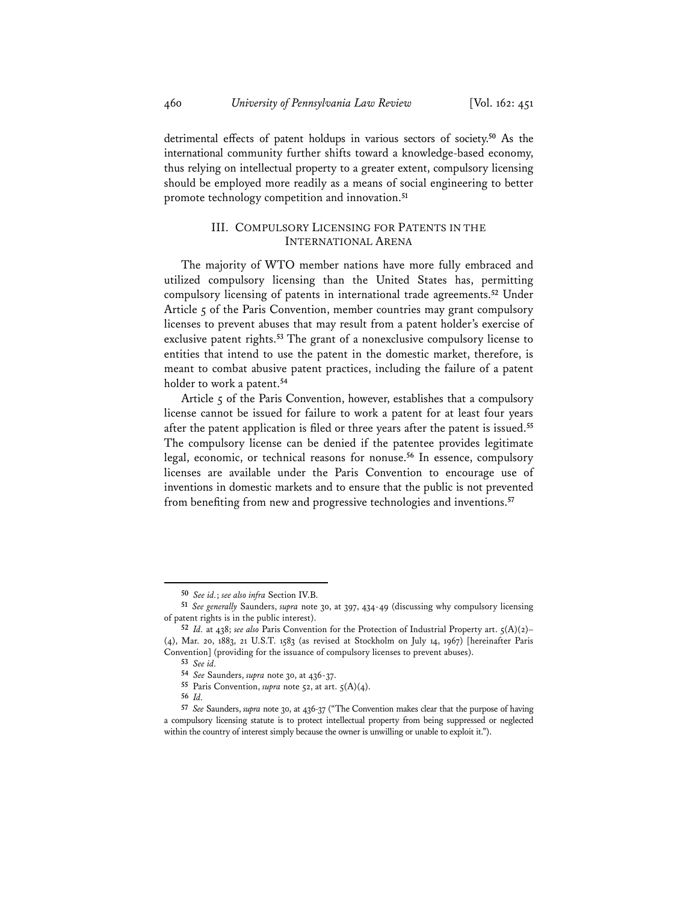detrimental effects of patent holdups in various sectors of society.**<sup>50</sup>** As the international community further shifts toward a knowledge-based economy, thus relying on intellectual property to a greater extent, compulsory licensing should be employed more readily as a means of social engineering to better promote technology competition and innovation.**<sup>51</sup>**

# III. COMPULSORY LICENSING FOR PATENTS IN THE INTERNATIONAL ARENA

The majority of WTO member nations have more fully embraced and utilized compulsory licensing than the United States has, permitting compulsory licensing of patents in international trade agreements.**<sup>52</sup>** Under Article  $\zeta$  of the Paris Convention, member countries may grant compulsory licenses to prevent abuses that may result from a patent holder's exercise of exclusive patent rights.**<sup>53</sup>** The grant of a nonexclusive compulsory license to entities that intend to use the patent in the domestic market, therefore, is meant to combat abusive patent practices, including the failure of a patent holder to work a patent.**<sup>54</sup>**

Article 5 of the Paris Convention, however, establishes that a compulsory license cannot be issued for failure to work a patent for at least four years after the patent application is filed or three years after the patent is issued.**<sup>55</sup>** The compulsory license can be denied if the patentee provides legitimate legal, economic, or technical reasons for nonuse.**<sup>56</sup>** In essence, compulsory licenses are available under the Paris Convention to encourage use of inventions in domestic markets and to ensure that the public is not prevented from benefiting from new and progressive technologies and inventions.**<sup>57</sup>**

 **50** *See id.*; *see also infra* Section IV.B.

**<sup>51</sup>** *See generally* Saunders, *supra* note 30, at 397, 434-49 (discussing why compulsory licensing of patent rights is in the public interest).

**<sup>52</sup>** *Id.* at 438; *see also* Paris Convention for the Protection of Industrial Property art. 5(A)(2)– (4), Mar. 20, 1883, 21 U.S.T. 1583 (as revised at Stockholm on July 14, 1967) [hereinafter Paris Convention] (providing for the issuance of compulsory licenses to prevent abuses).

**<sup>53</sup>** *See id.*

**<sup>54</sup>** *See* Saunders, *supra* note 30, at 436-37.

**<sup>55</sup>** Paris Convention, *supra* note 52, at art. 5(A)(4).

**<sup>56</sup>** *Id.* 

**<sup>57</sup>** *See* Saunders, *supra* note 30, at 436-37 ("The Convention makes clear that the purpose of having a compulsory licensing statute is to protect intellectual property from being suppressed or neglected within the country of interest simply because the owner is unwilling or unable to exploit it.").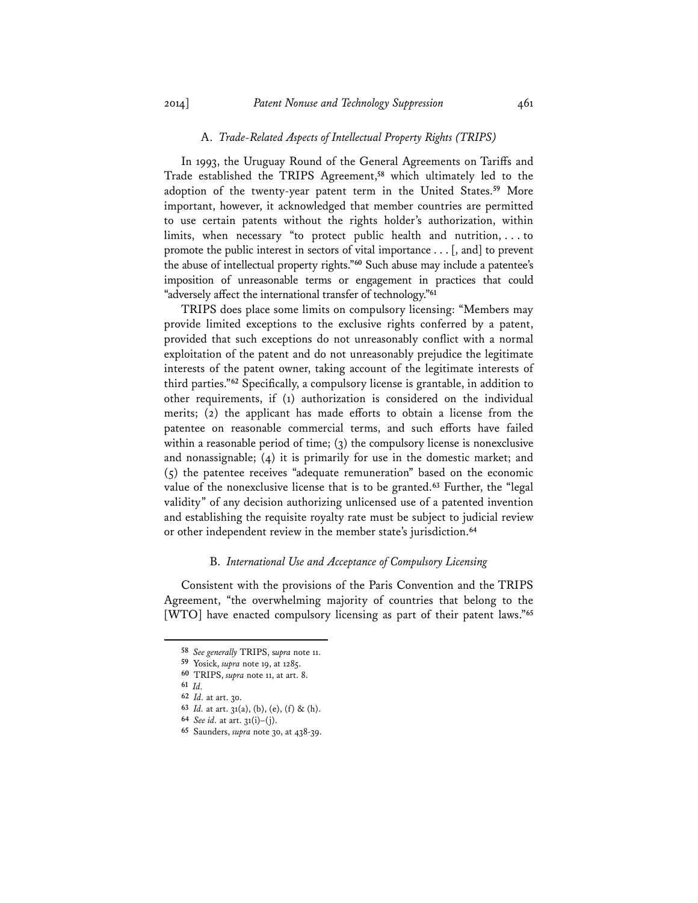### A. *Trade-Related Aspects of Intellectual Property Rights (TRIPS)*

In 1993, the Uruguay Round of the General Agreements on Tariffs and Trade established the TRIPS Agreement,**<sup>58</sup>** which ultimately led to the adoption of the twenty-year patent term in the United States.**<sup>59</sup>** More important, however, it acknowledged that member countries are permitted to use certain patents without the rights holder's authorization, within limits, when necessary "to protect public health and nutrition, . . . to promote the public interest in sectors of vital importance . . . [, and] to prevent the abuse of intellectual property rights."**<sup>60</sup>** Such abuse may include a patentee's imposition of unreasonable terms or engagement in practices that could "adversely affect the international transfer of technology."**<sup>61</sup>**

TRIPS does place some limits on compulsory licensing: "Members may provide limited exceptions to the exclusive rights conferred by a patent, provided that such exceptions do not unreasonably conflict with a normal exploitation of the patent and do not unreasonably prejudice the legitimate interests of the patent owner, taking account of the legitimate interests of third parties."**<sup>62</sup>** Specifically, a compulsory license is grantable, in addition to other requirements, if (1) authorization is considered on the individual merits; (2) the applicant has made efforts to obtain a license from the patentee on reasonable commercial terms, and such efforts have failed within a reasonable period of time; (3) the compulsory license is nonexclusive and nonassignable; (4) it is primarily for use in the domestic market; and (5) the patentee receives "adequate remuneration" based on the economic value of the nonexclusive license that is to be granted.**<sup>63</sup>** Further, the "legal validity" of any decision authorizing unlicensed use of a patented invention and establishing the requisite royalty rate must be subject to judicial review or other independent review in the member state's jurisdiction.**<sup>64</sup>**

#### B. *International Use and Acceptance of Compulsory Licensing*

Consistent with the provisions of the Paris Convention and the TRIPS Agreement, "the overwhelming majority of countries that belong to the [WTO] have enacted compulsory licensing as part of their patent laws."**<sup>65</sup>**

 **58** *See generally* TRIPS, s*upra* note 11.

**<sup>59</sup>** Yosick, *supra* note 19, at 1285.

**<sup>60</sup>** TRIPS, *supra* note 11, at art. 8.

**<sup>61</sup>** *Id.*

**<sup>62</sup>** *Id.* at art. 30.

**<sup>63</sup>** *Id.* at art. 31(a), (b), (e), (f) & (h).

**<sup>64</sup>** *See id.* at art. 31(i)–(j).

**<sup>65</sup>** Saunders, *supra* note 30, at 438-39.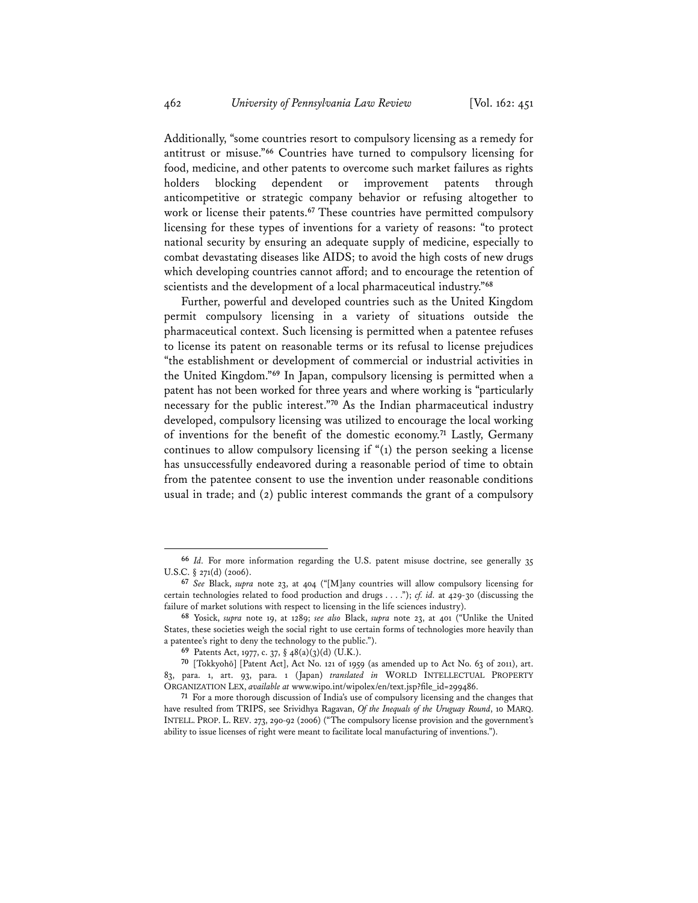Additionally, "some countries resort to compulsory licensing as a remedy for antitrust or misuse."**<sup>66</sup>** Countries have turned to compulsory licensing for food, medicine, and other patents to overcome such market failures as rights holders blocking dependent or improvement patents through anticompetitive or strategic company behavior or refusing altogether to work or license their patents.**<sup>67</sup>** These countries have permitted compulsory licensing for these types of inventions for a variety of reasons: "to protect national security by ensuring an adequate supply of medicine, especially to combat devastating diseases like AIDS; to avoid the high costs of new drugs which developing countries cannot afford; and to encourage the retention of scientists and the development of a local pharmaceutical industry."**<sup>68</sup>**

Further, powerful and developed countries such as the United Kingdom permit compulsory licensing in a variety of situations outside the pharmaceutical context. Such licensing is permitted when a patentee refuses to license its patent on reasonable terms or its refusal to license prejudices "the establishment or development of commercial or industrial activities in the United Kingdom."**<sup>69</sup>** In Japan, compulsory licensing is permitted when a patent has not been worked for three years and where working is "particularly necessary for the public interest."**<sup>70</sup>** As the Indian pharmaceutical industry developed, compulsory licensing was utilized to encourage the local working of inventions for the benefit of the domestic economy.**<sup>71</sup>** Lastly, Germany continues to allow compulsory licensing if "(1) the person seeking a license has unsuccessfully endeavored during a reasonable period of time to obtain from the patentee consent to use the invention under reasonable conditions usual in trade; and (2) public interest commands the grant of a compulsory

**<sup>66</sup>** *Id.* For more information regarding the U.S. patent misuse doctrine, see generally 35 U.S.C. § 271(d) (2006).

**<sup>67</sup>** *See* Black, *supra* note 23, at 404 ("[M]any countries will allow compulsory licensing for certain technologies related to food production and drugs . . . ."); *cf. id.* at 429-30 (discussing the failure of market solutions with respect to licensing in the life sciences industry).

**<sup>68</sup>** Yosick, *supra* note 19, at 1289; *see also* Black, *supra* note 23, at 401 ("Unlike the United States, these societies weigh the social right to use certain forms of technologies more heavily than a patentee's right to deny the technology to the public.").

**<sup>69</sup>** Patents Act, 1977, c. 37, § 48(a)(3)(d) (U.K.).

**<sup>70</sup>** [Tokkyohō] [Patent Act], Act No. 121 of 1959 (as amended up to Act No. 63 of 2011), art. 83, para. 1, art. 93, para. 1 (Japan) *translated in* WORLD INTELLECTUAL PROPERTY ORGANIZATION LEX, *available at* www.wipo.int/wipolex/en/text.jsp?file\_id=299486.

**<sup>71</sup>** For a more thorough discussion of India's use of compulsory licensing and the changes that have resulted from TRIPS, see Srividhya Ragavan, *Of the Inequals of the Uruguay Round*, 10 MARQ. INTELL. PROP. L. REV. 273, 290-92 (2006) ("The compulsory license provision and the government's ability to issue licenses of right were meant to facilitate local manufacturing of inventions.").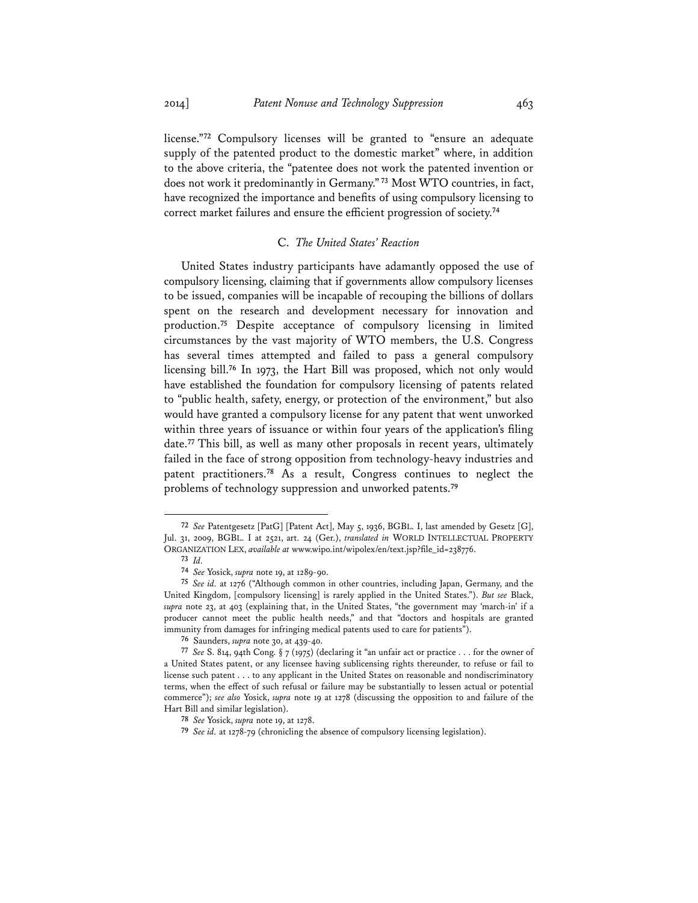license."**<sup>72</sup>** Compulsory licenses will be granted to "ensure an adequate supply of the patented product to the domestic market" where, in addition

to the above criteria, the "patentee does not work the patented invention or does not work it predominantly in Germany."**<sup>73</sup>** Most WTO countries, in fact, have recognized the importance and benefits of using compulsory licensing to correct market failures and ensure the efficient progression of society.**<sup>74</sup>**

#### C. *The United States' Reaction*

United States industry participants have adamantly opposed the use of compulsory licensing, claiming that if governments allow compulsory licenses to be issued, companies will be incapable of recouping the billions of dollars spent on the research and development necessary for innovation and production.**<sup>75</sup>** Despite acceptance of compulsory licensing in limited circumstances by the vast majority of WTO members, the U.S. Congress has several times attempted and failed to pass a general compulsory licensing bill.**<sup>76</sup>** In 1973, the Hart Bill was proposed, which not only would have established the foundation for compulsory licensing of patents related to "public health, safety, energy, or protection of the environment," but also would have granted a compulsory license for any patent that went unworked within three years of issuance or within four years of the application's filing date.**<sup>77</sup>** This bill, as well as many other proposals in recent years, ultimately failed in the face of strong opposition from technology-heavy industries and patent practitioners.**<sup>78</sup>** As a result, Congress continues to neglect the problems of technology suppression and unworked patents.**<sup>79</sup>**

**<sup>72</sup>** *See* Patentgesetz [PatG] [Patent Act], May 5, 1936, BGBL. I, last amended by Gesetz [G], Jul. 31, 2009, BGBL. I at 2521, art. 24 (Ger.), *translated in* WORLD INTELLECTUAL PROPERTY ORGANIZATION LEX, *available at* www.wipo.int/wipolex/en/text.jsp?file\_id=238776.

**<sup>73</sup>** *Id.* 

**<sup>74</sup>** *See* Yosick, *supra* note 19, at 1289-90.

**<sup>75</sup>** *See id.* at 1276 ("Although common in other countries, including Japan, Germany, and the United Kingdom, [compulsory licensing] is rarely applied in the United States."). *But see* Black, *supra* note 23, at 403 (explaining that, in the United States, "the government may 'march-in' if a producer cannot meet the public health needs," and that "doctors and hospitals are granted immunity from damages for infringing medical patents used to care for patients").

**<sup>76</sup>** Saunders, *supra* note 30, at 439-40.

**<sup>77</sup>** *See* S. 814, 94th Cong. § 7 (1975) (declaring it "an unfair act or practice . . . for the owner of a United States patent, or any licensee having sublicensing rights thereunder, to refuse or fail to license such patent . . . to any applicant in the United States on reasonable and nondiscriminatory terms, when the effect of such refusal or failure may be substantially to lessen actual or potential commerce"); *see also* Yosick, *supra* note 19 at 1278 (discussing the opposition to and failure of the Hart Bill and similar legislation).

**<sup>78</sup>** *See* Yosick, *supra* note 19, at 1278.

**<sup>79</sup>** *See id.* at 1278-79 (chronicling the absence of compulsory licensing legislation).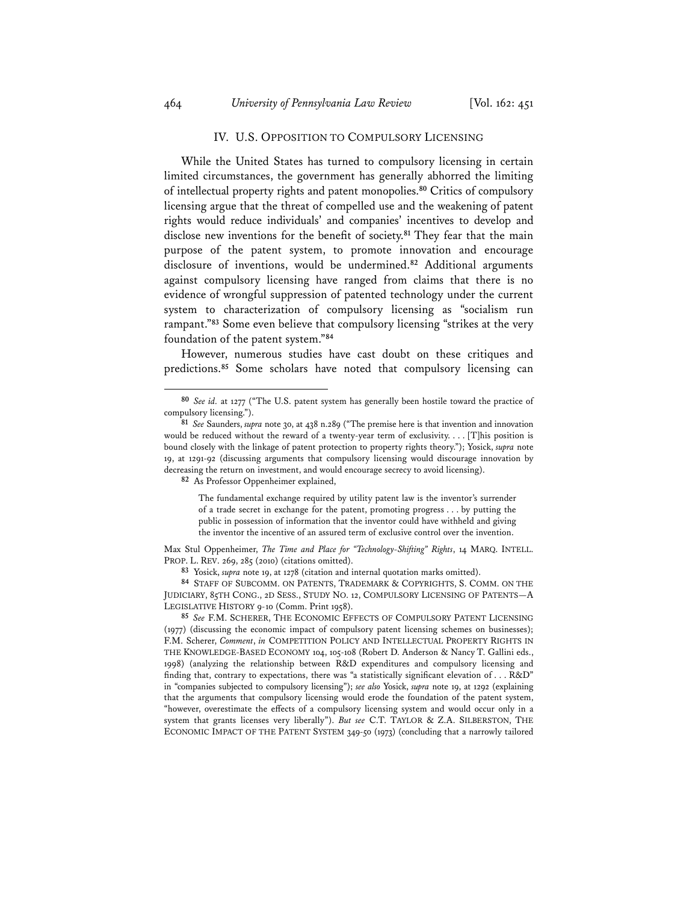## IV. U.S. OPPOSITION TO COMPULSORY LICENSING

While the United States has turned to compulsory licensing in certain limited circumstances, the government has generally abhorred the limiting of intellectual property rights and patent monopolies.**<sup>80</sup>** Critics of compulsory licensing argue that the threat of compelled use and the weakening of patent rights would reduce individuals' and companies' incentives to develop and disclose new inventions for the benefit of society.**<sup>81</sup>** They fear that the main purpose of the patent system, to promote innovation and encourage disclosure of inventions, would be undermined.**<sup>82</sup>** Additional arguments against compulsory licensing have ranged from claims that there is no evidence of wrongful suppression of patented technology under the current system to characterization of compulsory licensing as "socialism run rampant."**<sup>83</sup>** Some even believe that compulsory licensing "strikes at the very foundation of the patent system."**<sup>84</sup>**

However, numerous studies have cast doubt on these critiques and predictions.**<sup>85</sup>** Some scholars have noted that compulsory licensing can

**82** As Professor Oppenheimer explained,

The fundamental exchange required by utility patent law is the inventor's surrender of a trade secret in exchange for the patent, promoting progress . . . by putting the public in possession of information that the inventor could have withheld and giving the inventor the incentive of an assured term of exclusive control over the invention.

Max Stul Oppenheimer, *The Time and Place for "Technology-Shifting" Rights*, 14 MARQ. INTELL. PROP. L. REV. 269, 285 (2010) (citations omitted).

**83** Yosick, *supra* note 19, at 1278 (citation and internal quotation marks omitted).

**84** STAFF OF SUBCOMM. ON PATENTS, TRADEMARK & COPYRIGHTS, S. COMM. ON THE JUDICIARY, 85TH CONG., 2D SESS., STUDY NO. 12, COMPULSORY LICENSING OF PATENTS—A LEGISLATIVE HISTORY 9-10 (Comm. Print 1958).

**85** *See* F.M. SCHERER, THE ECONOMIC EFFECTS OF COMPULSORY PATENT LICENSING (1977) (discussing the economic impact of compulsory patent licensing schemes on businesses); F.M. Scherer, *Comment*, *in* COMPETITION POLICY AND INTELLECTUAL PROPERTY RIGHTS IN THE KNOWLEDGE-BASED ECONOMY 104, 105-108 (Robert D. Anderson & Nancy T. Gallini eds., 1998) (analyzing the relationship between R&D expenditures and compulsory licensing and finding that, contrary to expectations, there was "a statistically significant elevation of . . . R&D" in "companies subjected to compulsory licensing"); *see also* Yosick, *supra* note 19, at 1292 (explaining that the arguments that compulsory licensing would erode the foundation of the patent system, "however, overestimate the effects of a compulsory licensing system and would occur only in a system that grants licenses very liberally"). *But see* C.T. TAYLOR & Z.A. SILBERSTON, THE ECONOMIC IMPACT OF THE PATENT SYSTEM 349-50 (1973) (concluding that a narrowly tailored

**<sup>80</sup>** *See id.* at 1277 ("The U.S. patent system has generally been hostile toward the practice of compulsory licensing.").

**<sup>81</sup>** *See* Saunders, *supra* note 30, at 438 n.289 ("The premise here is that invention and innovation would be reduced without the reward of a twenty-year term of exclusivity. . . . [T]his position is bound closely with the linkage of patent protection to property rights theory."); Yosick, *supra* note 19, at 1291-92 (discussing arguments that compulsory licensing would discourage innovation by decreasing the return on investment, and would encourage secrecy to avoid licensing).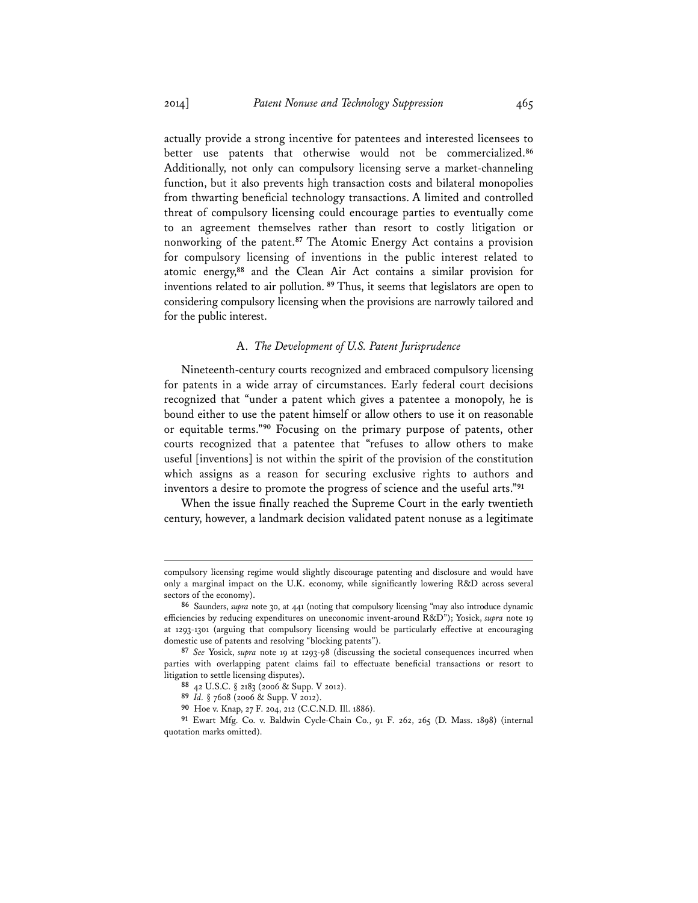actually provide a strong incentive for patentees and interested licensees to better use patents that otherwise would not be commercialized.**<sup>86</sup>** Additionally, not only can compulsory licensing serve a market-channeling function, but it also prevents high transaction costs and bilateral monopolies from thwarting beneficial technology transactions. A limited and controlled threat of compulsory licensing could encourage parties to eventually come to an agreement themselves rather than resort to costly litigation or nonworking of the patent.**<sup>87</sup>** The Atomic Energy Act contains a provision for compulsory licensing of inventions in the public interest related to atomic energy,**<sup>88</sup>** and the Clean Air Act contains a similar provision for inventions related to air pollution.**<sup>89</sup>**Thus, it seems that legislators are open to considering compulsory licensing when the provisions are narrowly tailored and for the public interest.

#### A. *The Development of U.S. Patent Jurisprudence*

Nineteenth-century courts recognized and embraced compulsory licensing for patents in a wide array of circumstances. Early federal court decisions recognized that "under a patent which gives a patentee a monopoly, he is bound either to use the patent himself or allow others to use it on reasonable or equitable terms."**<sup>90</sup>** Focusing on the primary purpose of patents, other courts recognized that a patentee that "refuses to allow others to make useful [inventions] is not within the spirit of the provision of the constitution which assigns as a reason for securing exclusive rights to authors and inventors a desire to promote the progress of science and the useful arts."**<sup>91</sup>**

When the issue finally reached the Supreme Court in the early twentieth century, however, a landmark decision validated patent nonuse as a legitimate

compulsory licensing regime would slightly discourage patenting and disclosure and would have only a marginal impact on the U.K. economy, while significantly lowering R&D across several sectors of the economy).

**<sup>86</sup>** Saunders, *supra* note 30, at 441 (noting that compulsory licensing "may also introduce dynamic efficiencies by reducing expenditures on uneconomic invent-around R&D"); Yosick, *supra* note 19 at 1293-1301 (arguing that compulsory licensing would be particularly effective at encouraging domestic use of patents and resolving "blocking patents").

**<sup>87</sup>** *See* Yosick, *supra* note 19 at 1293-98 (discussing the societal consequences incurred when parties with overlapping patent claims fail to effectuate beneficial transactions or resort to litigation to settle licensing disputes).

**<sup>88</sup>** 42 U.S.C. § 2183 (2006 & Supp. V 2012).

**<sup>89</sup>** *Id.* § 7608 (2006 & Supp. V 2012).

**<sup>90</sup>** Hoe v. Knap, 27 F. 204, 212 (C.C.N.D. Ill. 1886).

**<sup>91</sup>** Ewart Mfg. Co. v. Baldwin Cycle-Chain Co., 91 F. 262, 265 (D. Mass. 1898) (internal quotation marks omitted).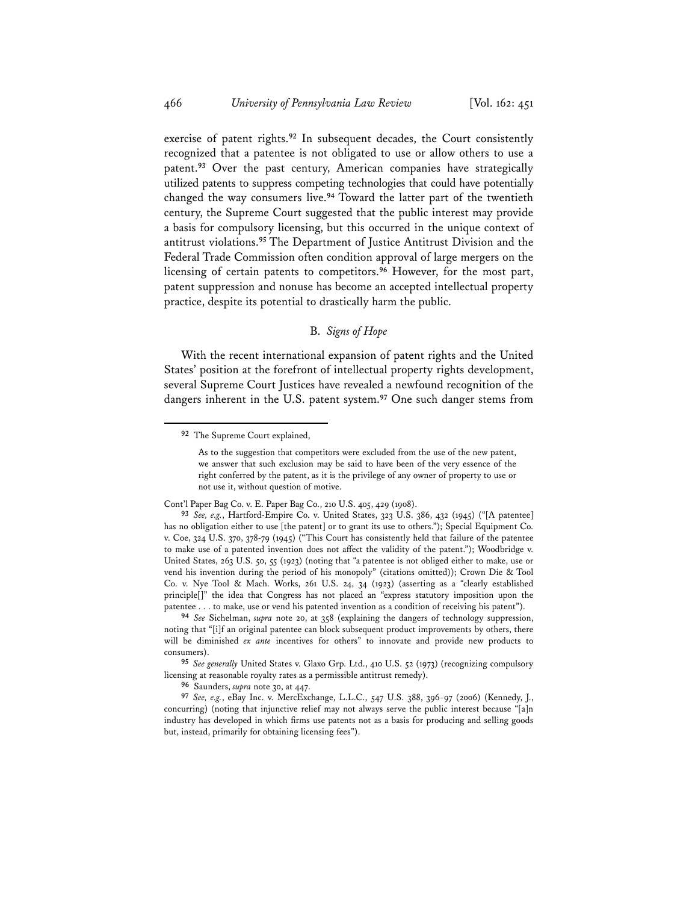exercise of patent rights.**<sup>92</sup>** In subsequent decades, the Court consistently recognized that a patentee is not obligated to use or allow others to use a patent.**<sup>93</sup>** Over the past century, American companies have strategically utilized patents to suppress competing technologies that could have potentially changed the way consumers live.**<sup>94</sup>** Toward the latter part of the twentieth century, the Supreme Court suggested that the public interest may provide a basis for compulsory licensing, but this occurred in the unique context of antitrust violations.**<sup>95</sup>** The Department of Justice Antitrust Division and the Federal Trade Commission often condition approval of large mergers on the licensing of certain patents to competitors.**<sup>96</sup>** However, for the most part, patent suppression and nonuse has become an accepted intellectual property practice, despite its potential to drastically harm the public.

# B. *Signs of Hope*

With the recent international expansion of patent rights and the United States' position at the forefront of intellectual property rights development, several Supreme Court Justices have revealed a newfound recognition of the dangers inherent in the U.S. patent system.**<sup>97</sup>** One such danger stems from

 **92** The Supreme Court explained,

As to the suggestion that competitors were excluded from the use of the new patent, we answer that such exclusion may be said to have been of the very essence of the right conferred by the patent, as it is the privilege of any owner of property to use or not use it, without question of motive.

Cont'l Paper Bag Co. v. E. Paper Bag Co., 210 U.S. 405, 429 (1908).

**<sup>93</sup>** *See, e.g.*, Hartford-Empire Co. v. United States, 323 U.S. 386, 432 (1945) ("[A patentee] has no obligation either to use [the patent] or to grant its use to others."); Special Equipment Co. v. Coe, 324 U.S. 370, 378-79 (1945) ("This Court has consistently held that failure of the patentee to make use of a patented invention does not affect the validity of the patent."); Woodbridge v. United States, 263 U.S. 50, 55 (1923) (noting that "a patentee is not obliged either to make, use or vend his invention during the period of his monopoly" (citations omitted)); Crown Die & Tool Co. v. Nye Tool & Mach. Works, 261 U.S. 24, 34 (1923) (asserting as a "clearly established principle[]" the idea that Congress has not placed an "express statutory imposition upon the patentee . . . to make, use or vend his patented invention as a condition of receiving his patent").

**<sup>94</sup>** *See* Sichelman, *supra* note 20, at 358 (explaining the dangers of technology suppression, noting that "[i]f an original patentee can block subsequent product improvements by others, there will be diminished *ex ante* incentives for others" to innovate and provide new products to consumers).

**<sup>95</sup>** *See generally* United States v. Glaxo Grp. Ltd., 410 U.S. 52 (1973) (recognizing compulsory licensing at reasonable royalty rates as a permissible antitrust remedy).

**<sup>96</sup>** Saunders, *supra* note 30, at 447.

**<sup>97</sup>** *See, e.g.*, eBay Inc. v. MercExchange, L.L.C., 547 U.S. 388, 396-97 (2006) (Kennedy, J., concurring) (noting that injunctive relief may not always serve the public interest because "[a]n industry has developed in which firms use patents not as a basis for producing and selling goods but, instead, primarily for obtaining licensing fees").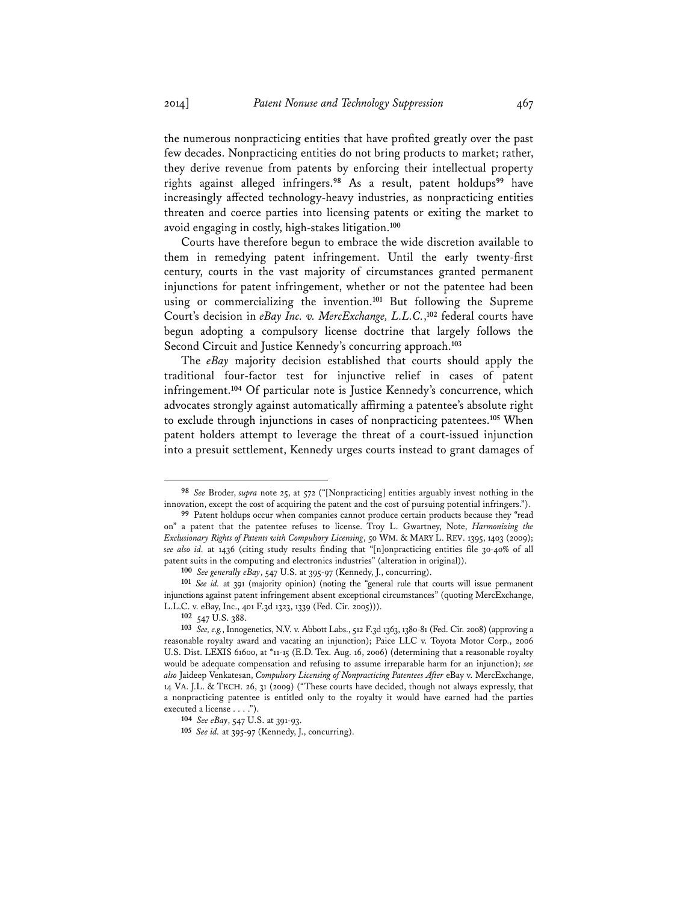the numerous nonpracticing entities that have profited greatly over the past few decades. Nonpracticing entities do not bring products to market; rather, they derive revenue from patents by enforcing their intellectual property rights against alleged infringers.**<sup>98</sup>** As a result, patent holdups**<sup>99</sup>** have increasingly affected technology-heavy industries, as nonpracticing entities threaten and coerce parties into licensing patents or exiting the market to avoid engaging in costly, high-stakes litigation.**<sup>100</sup>**

Courts have therefore begun to embrace the wide discretion available to them in remedying patent infringement. Until the early twenty-first century, courts in the vast majority of circumstances granted permanent injunctions for patent infringement, whether or not the patentee had been using or commercializing the invention.**<sup>101</sup>** But following the Supreme Court's decision in *eBay Inc. v. MercExchange, L.L.C.*, **<sup>102</sup>** federal courts have begun adopting a compulsory license doctrine that largely follows the Second Circuit and Justice Kennedy's concurring approach.**<sup>103</sup>**

The *eBay* majority decision established that courts should apply the traditional four-factor test for injunctive relief in cases of patent infringement.**<sup>104</sup>** Of particular note is Justice Kennedy's concurrence, which advocates strongly against automatically affirming a patentee's absolute right to exclude through injunctions in cases of nonpracticing patentees.**<sup>105</sup>** When patent holders attempt to leverage the threat of a court-issued injunction into a presuit settlement, Kennedy urges courts instead to grant damages of

**<sup>98</sup>** *See* Broder, *supra* note 25, at 572 ("[Nonpracticing] entities arguably invest nothing in the innovation, except the cost of acquiring the patent and the cost of pursuing potential infringers.").

**<sup>99</sup>** Patent holdups occur when companies cannot produce certain products because they "read on" a patent that the patentee refuses to license. Troy L. Gwartney, Note, *Harmonizing the Exclusionary Rights of Patents with Compulsory Licensing*, 50 WM. & MARY L. REV. 1395, 1403 (2009); *see also id.* at 1436 (citing study results finding that "[n]onpracticing entities file 30-40% of all patent suits in the computing and electronics industries" (alteration in original)).

**<sup>100</sup>** *See generally eBay*, 547 U.S. at 395-97 (Kennedy, J., concurring).

**<sup>101</sup>** *See id.* at 391 (majority opinion) (noting the "general rule that courts will issue permanent injunctions against patent infringement absent exceptional circumstances" (quoting MercExchange, L.L.C. v. eBay, Inc., 401 F.3d 1323, 1339 (Fed. Cir. 2005))).

**<sup>102</sup>** 547 U.S. 388.

**<sup>103</sup>** *See, e.g.*, Innogenetics, N.V. v. Abbott Labs., 512 F.3d 1363, 1380-81 (Fed. Cir. 2008) (approving a reasonable royalty award and vacating an injunction); Paice LLC v. Toyota Motor Corp., 2006 U.S. Dist. LEXIS 61600, at \*11-15 (E.D. Tex. Aug. 16, 2006) (determining that a reasonable royalty would be adequate compensation and refusing to assume irreparable harm for an injunction); *see also* Jaideep Venkatesan, *Compulsory Licensing of Nonpracticing Patentees After* eBay v. MercExchange, 14 VA. J.L. & TECH. 26, 31 (2009) ("These courts have decided, though not always expressly, that a nonpracticing patentee is entitled only to the royalty it would have earned had the parties executed a license . . . .").

**<sup>104</sup>** *See eBay*, 547 U.S. at 391-93.

**<sup>105</sup>** *See id.* at 395-97 (Kennedy, J., concurring).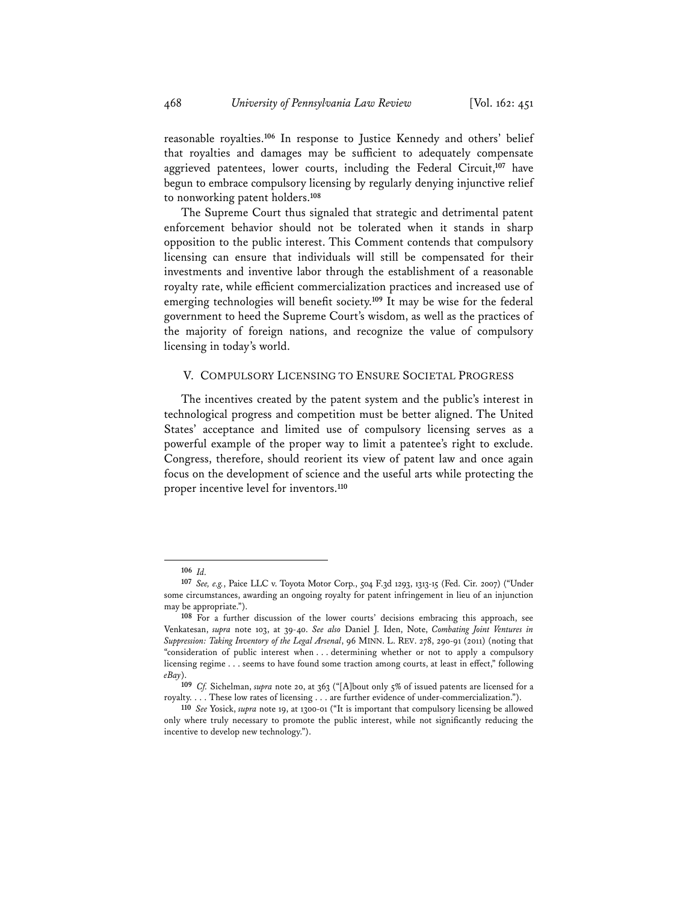reasonable royalties.**<sup>106</sup>** In response to Justice Kennedy and others' belief that royalties and damages may be sufficient to adequately compensate aggrieved patentees, lower courts, including the Federal Circuit,**<sup>107</sup>** have begun to embrace compulsory licensing by regularly denying injunctive relief to nonworking patent holders.**<sup>108</sup>**

The Supreme Court thus signaled that strategic and detrimental patent enforcement behavior should not be tolerated when it stands in sharp opposition to the public interest. This Comment contends that compulsory licensing can ensure that individuals will still be compensated for their investments and inventive labor through the establishment of a reasonable royalty rate, while efficient commercialization practices and increased use of emerging technologies will benefit society.**<sup>109</sup>** It may be wise for the federal government to heed the Supreme Court's wisdom, as well as the practices of the majority of foreign nations, and recognize the value of compulsory licensing in today's world.

#### V. COMPULSORY LICENSING TO ENSURE SOCIETAL PROGRESS

The incentives created by the patent system and the public's interest in technological progress and competition must be better aligned. The United States' acceptance and limited use of compulsory licensing serves as a powerful example of the proper way to limit a patentee's right to exclude. Congress, therefore, should reorient its view of patent law and once again focus on the development of science and the useful arts while protecting the proper incentive level for inventors.**<sup>110</sup>**

**<sup>106</sup>** *Id.*

**<sup>107</sup>** *See, e.g.*, Paice LLC v. Toyota Motor Corp., 504 F.3d 1293, 1313-15 (Fed. Cir. 2007) ("Under some circumstances, awarding an ongoing royalty for patent infringement in lieu of an injunction may be appropriate.").

**<sup>108</sup>** For a further discussion of the lower courts' decisions embracing this approach, see Venkatesan, *supra* note 103, at 39-40. *See also* Daniel J. Iden, Note, *Combating Joint Ventures in Suppression: Taking Inventory of the Legal Arsenal*, 96 MINN. L. REV. 278, 290-91 (2011) (noting that "consideration of public interest when . . . determining whether or not to apply a compulsory licensing regime . . . seems to have found some traction among courts, at least in effect," following *eBay*).

**<sup>109</sup>** *Cf.* Sichelman, *supra* note 20, at 363 ("[A]bout only 5% of issued patents are licensed for a royalty. . . . These low rates of licensing . . . are further evidence of under-commercialization.").

**<sup>110</sup>** *See* Yosick, *supra* note 19, at 1300-01 ("It is important that compulsory licensing be allowed only where truly necessary to promote the public interest, while not significantly reducing the incentive to develop new technology.").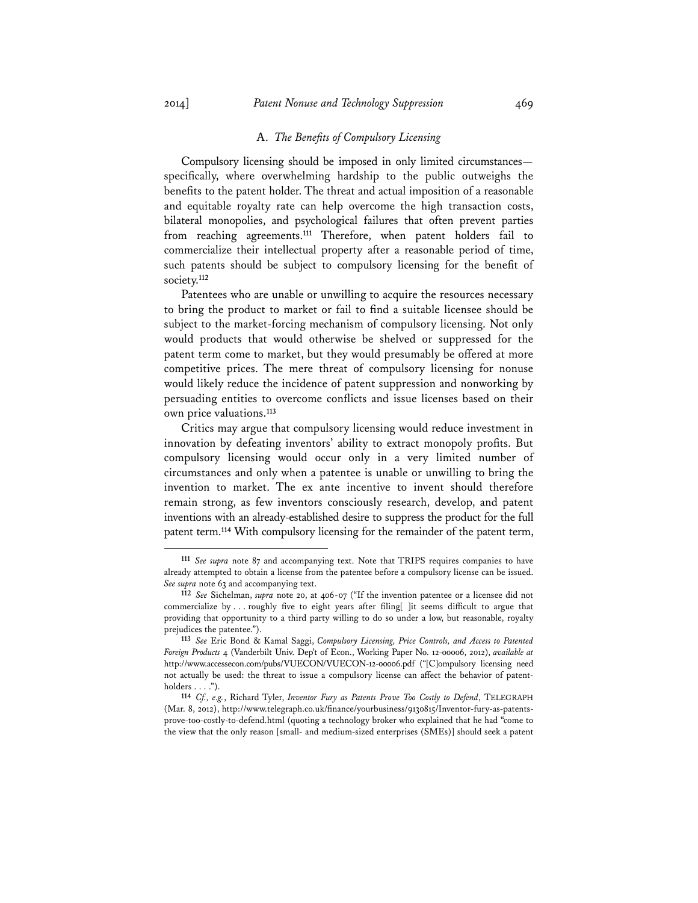#### A. *The Benefits of Compulsory Licensing*

Compulsory licensing should be imposed in only limited circumstances specifically, where overwhelming hardship to the public outweighs the benefits to the patent holder. The threat and actual imposition of a reasonable and equitable royalty rate can help overcome the high transaction costs, bilateral monopolies, and psychological failures that often prevent parties from reaching agreements.**<sup>111</sup>** Therefore, when patent holders fail to commercialize their intellectual property after a reasonable period of time, such patents should be subject to compulsory licensing for the benefit of society.**<sup>112</sup>**

Patentees who are unable or unwilling to acquire the resources necessary to bring the product to market or fail to find a suitable licensee should be subject to the market-forcing mechanism of compulsory licensing. Not only would products that would otherwise be shelved or suppressed for the patent term come to market, but they would presumably be offered at more competitive prices. The mere threat of compulsory licensing for nonuse would likely reduce the incidence of patent suppression and nonworking by persuading entities to overcome conflicts and issue licenses based on their own price valuations.**<sup>113</sup>**

Critics may argue that compulsory licensing would reduce investment in innovation by defeating inventors' ability to extract monopoly profits. But compulsory licensing would occur only in a very limited number of circumstances and only when a patentee is unable or unwilling to bring the invention to market. The ex ante incentive to invent should therefore remain strong, as few inventors consciously research, develop, and patent inventions with an already-established desire to suppress the product for the full patent term.**<sup>114</sup>** With compulsory licensing for the remainder of the patent term,

**<sup>111</sup>** *See supra* note 87 and accompanying text. Note that TRIPS requires companies to have already attempted to obtain a license from the patentee before a compulsory license can be issued. *See supra* note 63 and accompanying text.

**<sup>112</sup>** *See* Sichelman, *supra* note 20, at 406-07 ("If the invention patentee or a licensee did not commercialize by . . . roughly five to eight years after filing[ ]it seems difficult to argue that providing that opportunity to a third party willing to do so under a low, but reasonable, royalty prejudices the patentee.").

**<sup>113</sup>** *See* Eric Bond & Kamal Saggi, *Compulsory Licensing, Price Controls, and Access to Patented Foreign Products* 4 (Vanderbilt Univ. Dep't of Econ., Working Paper No. 12-00006, 2012), *available at* http://www.accessecon.com/pubs/VUECON/VUECON-12-00006.pdf ("[C]ompulsory licensing need not actually be used: the threat to issue a compulsory license can affect the behavior of patentholders  $\dots$  .").

**<sup>114</sup>** *Cf., e.g.*, Richard Tyler, *Inventor Fury as Patents Prove Too Costly to Defend*, TELEGRAPH (Mar. 8, 2012), http://www.telegraph.co.uk/finance/yourbusiness/9130815/Inventor-fury-as-patentsprove-too-costly-to-defend.html (quoting a technology broker who explained that he had "come to the view that the only reason [small- and medium-sized enterprises (SMEs)] should seek a patent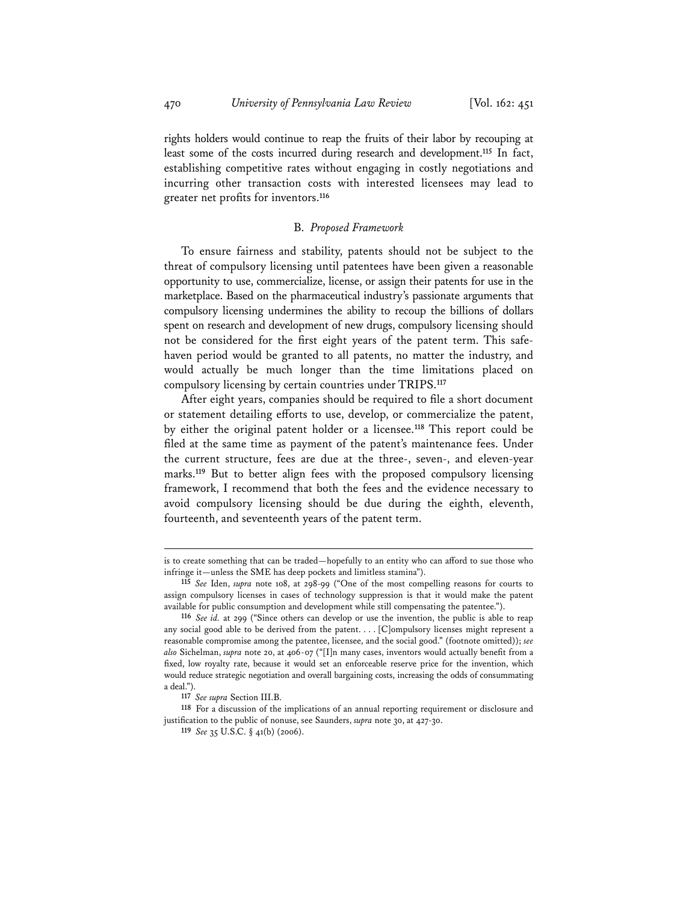rights holders would continue to reap the fruits of their labor by recouping at least some of the costs incurred during research and development.**<sup>115</sup>** In fact, establishing competitive rates without engaging in costly negotiations and incurring other transaction costs with interested licensees may lead to greater net profits for inventors.**<sup>116</sup>**

#### B. *Proposed Framework*

To ensure fairness and stability, patents should not be subject to the threat of compulsory licensing until patentees have been given a reasonable opportunity to use, commercialize, license, or assign their patents for use in the marketplace. Based on the pharmaceutical industry's passionate arguments that compulsory licensing undermines the ability to recoup the billions of dollars spent on research and development of new drugs, compulsory licensing should not be considered for the first eight years of the patent term. This safehaven period would be granted to all patents, no matter the industry, and would actually be much longer than the time limitations placed on compulsory licensing by certain countries under TRIPS.**<sup>117</sup>**

After eight years, companies should be required to file a short document or statement detailing efforts to use, develop, or commercialize the patent, by either the original patent holder or a licensee.**<sup>118</sup>** This report could be filed at the same time as payment of the patent's maintenance fees. Under the current structure, fees are due at the three-, seven-, and eleven-year marks.**<sup>119</sup>** But to better align fees with the proposed compulsory licensing framework, I recommend that both the fees and the evidence necessary to avoid compulsory licensing should be due during the eighth, eleventh, fourteenth, and seventeenth years of the patent term.

 is to create something that can be traded—hopefully to an entity who can afford to sue those who infringe it—unless the SME has deep pockets and limitless stamina").

**<sup>115</sup>** *See* Iden, *supra* note 108, at 298-99 ("One of the most compelling reasons for courts to assign compulsory licenses in cases of technology suppression is that it would make the patent available for public consumption and development while still compensating the patentee.").

**<sup>116</sup>** *See id.* at 299 ("Since others can develop or use the invention, the public is able to reap any social good able to be derived from the patent. . . . [C]ompulsory licenses might represent a reasonable compromise among the patentee, licensee, and the social good." (footnote omitted)); *see also* Sichelman, *supra* note 20, at 406-07 ("[I]n many cases, inventors would actually benefit from a fixed, low royalty rate, because it would set an enforceable reserve price for the invention, which would reduce strategic negotiation and overall bargaining costs, increasing the odds of consummating a deal.").

**<sup>117</sup>** *See supra* Section III.B.

**<sup>118</sup>** For a discussion of the implications of an annual reporting requirement or disclosure and justification to the public of nonuse, see Saunders, *supra* note 30, at 427-30.

**<sup>119</sup>** *See* 35 U.S.C. § 41(b) (2006).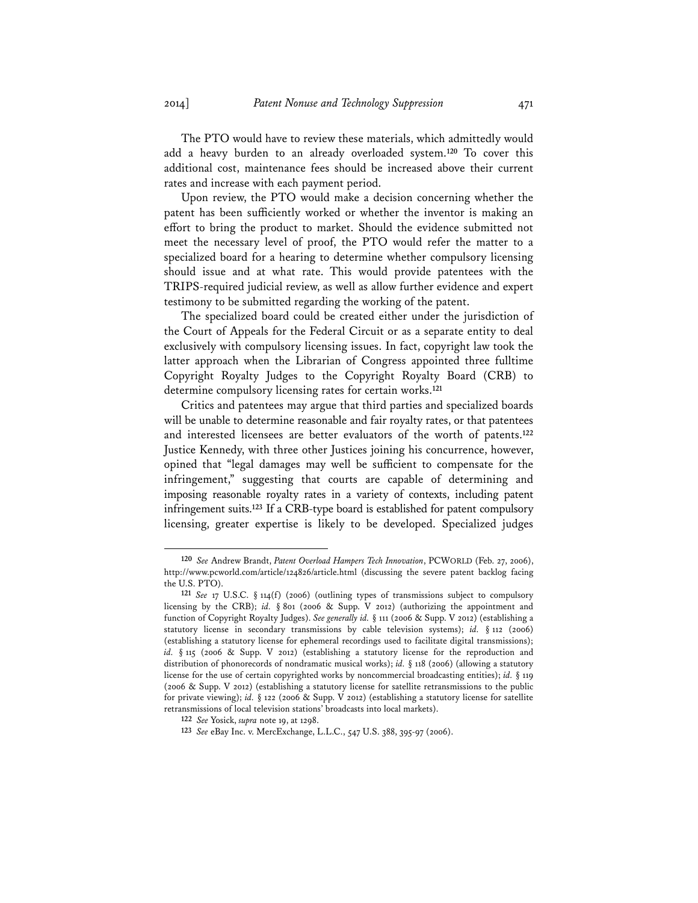The PTO would have to review these materials, which admittedly would add a heavy burden to an already overloaded system.**<sup>120</sup>** To cover this additional cost, maintenance fees should be increased above their current rates and increase with each payment period.

Upon review, the PTO would make a decision concerning whether the patent has been sufficiently worked or whether the inventor is making an effort to bring the product to market. Should the evidence submitted not meet the necessary level of proof, the PTO would refer the matter to a specialized board for a hearing to determine whether compulsory licensing should issue and at what rate. This would provide patentees with the TRIPS-required judicial review, as well as allow further evidence and expert testimony to be submitted regarding the working of the patent.

The specialized board could be created either under the jurisdiction of the Court of Appeals for the Federal Circuit or as a separate entity to deal exclusively with compulsory licensing issues. In fact, copyright law took the latter approach when the Librarian of Congress appointed three fulltime Copyright Royalty Judges to the Copyright Royalty Board (CRB) to determine compulsory licensing rates for certain works.**<sup>121</sup>**

Critics and patentees may argue that third parties and specialized boards will be unable to determine reasonable and fair royalty rates, or that patentees and interested licensees are better evaluators of the worth of patents.**<sup>122</sup>** Justice Kennedy, with three other Justices joining his concurrence, however, opined that "legal damages may well be sufficient to compensate for the infringement," suggesting that courts are capable of determining and imposing reasonable royalty rates in a variety of contexts, including patent infringement suits.**<sup>123</sup>** If a CRB-type board is established for patent compulsory licensing, greater expertise is likely to be developed. Specialized judges

**<sup>120</sup>** *See* Andrew Brandt, *Patent Overload Hampers Tech Innovation*, PCWORLD (Feb. 27, 2006), http://www.pcworld.com/article/124826/article.html (discussing the severe patent backlog facing the U.S. PTO).

**<sup>121</sup>** *See* 17 U.S.C. § 114(f) (2006) (outlining types of transmissions subject to compulsory licensing by the CRB); *id.* § 801 (2006 & Supp. V 2012) (authorizing the appointment and function of Copyright Royalty Judges). *See generally id.* § 111 (2006 & Supp. V 2012) (establishing a statutory license in secondary transmissions by cable television systems); *id.* § 112 (2006) (establishing a statutory license for ephemeral recordings used to facilitate digital transmissions); *id.* § 115 (2006 & Supp. V 2012) (establishing a statutory license for the reproduction and distribution of phonorecords of nondramatic musical works); *id.* § 118 (2006) (allowing a statutory license for the use of certain copyrighted works by noncommercial broadcasting entities); *id.* § 119 (2006 & Supp. V 2012) (establishing a statutory license for satellite retransmissions to the public for private viewing); *id.* § 122 (2006 & Supp. V 2012) (establishing a statutory license for satellite retransmissions of local television stations' broadcasts into local markets).

**<sup>122</sup>** *See* Yosick, *supra* note 19, at 1298.

**<sup>123</sup>** *See* eBay Inc. v. MercExchange, L.L.C., 547 U.S. 388, 395-97 (2006).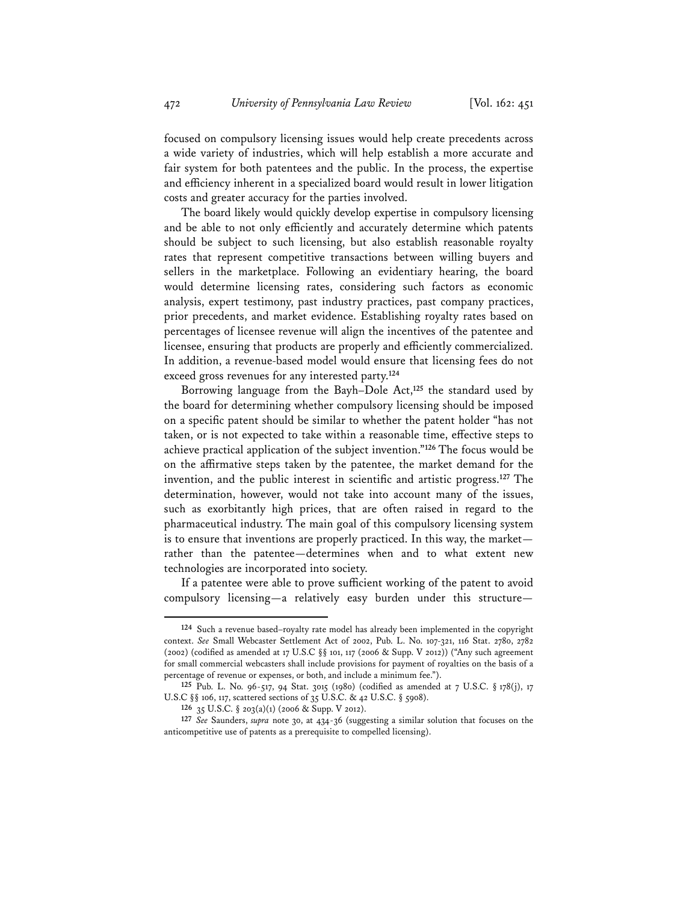focused on compulsory licensing issues would help create precedents across a wide variety of industries, which will help establish a more accurate and fair system for both patentees and the public. In the process, the expertise and efficiency inherent in a specialized board would result in lower litigation costs and greater accuracy for the parties involved.

The board likely would quickly develop expertise in compulsory licensing and be able to not only efficiently and accurately determine which patents should be subject to such licensing, but also establish reasonable royalty rates that represent competitive transactions between willing buyers and sellers in the marketplace. Following an evidentiary hearing, the board would determine licensing rates, considering such factors as economic analysis, expert testimony, past industry practices, past company practices, prior precedents, and market evidence. Establishing royalty rates based on percentages of licensee revenue will align the incentives of the patentee and licensee, ensuring that products are properly and efficiently commercialized. In addition, a revenue-based model would ensure that licensing fees do not exceed gross revenues for any interested party.**<sup>124</sup>**

Borrowing language from the Bayh–Dole Act,**<sup>125</sup>** the standard used by the board for determining whether compulsory licensing should be imposed on a specific patent should be similar to whether the patent holder "has not taken, or is not expected to take within a reasonable time, effective steps to achieve practical application of the subject invention."**<sup>126</sup>** The focus would be on the affirmative steps taken by the patentee, the market demand for the invention, and the public interest in scientific and artistic progress.**<sup>127</sup>** The determination, however, would not take into account many of the issues, such as exorbitantly high prices, that are often raised in regard to the pharmaceutical industry. The main goal of this compulsory licensing system is to ensure that inventions are properly practiced. In this way, the market rather than the patentee—determines when and to what extent new technologies are incorporated into society.

If a patentee were able to prove sufficient working of the patent to avoid compulsory licensing—a relatively easy burden under this structure—

**<sup>124</sup>** Such a revenue based–royalty rate model has already been implemented in the copyright context. *See* Small Webcaster Settlement Act of 2002, Pub. L. No. 107-321, 116 Stat. 2780, 2782 (2002) (codified as amended at 17 U.S.C §§ 101, 117 (2006 & Supp. V 2012)) ("Any such agreement for small commercial webcasters shall include provisions for payment of royalties on the basis of a percentage of revenue or expenses, or both, and include a minimum fee.").

**<sup>125</sup>** Pub. L. No. 96-517, 94 Stat. 3015 (1980) (codified as amended at 7 U.S.C. § 178(j), 17 U.S.C §§ 106, 117, scattered sections of 35 U.S.C. & 42 U.S.C. § 5908).

**<sup>126</sup>** 35 U.S.C. § 203(a)(1) (2006 & Supp. V 2012).

**<sup>127</sup>** *See* Saunders, *supra* note 30, at 434-36 (suggesting a similar solution that focuses on the anticompetitive use of patents as a prerequisite to compelled licensing).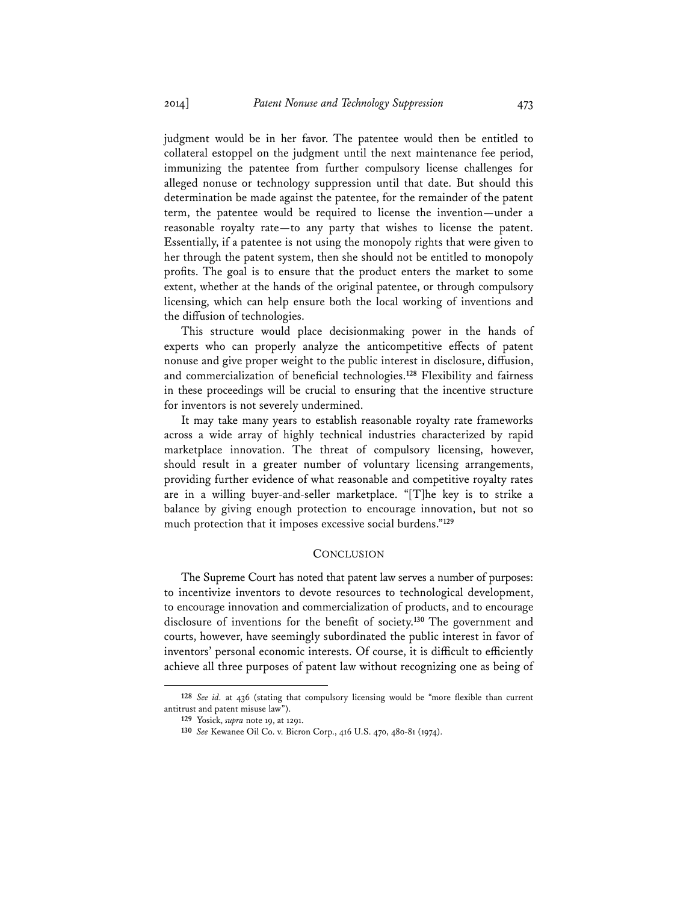judgment would be in her favor. The patentee would then be entitled to collateral estoppel on the judgment until the next maintenance fee period, immunizing the patentee from further compulsory license challenges for alleged nonuse or technology suppression until that date. But should this determination be made against the patentee, for the remainder of the patent term, the patentee would be required to license the invention—under a reasonable royalty rate—to any party that wishes to license the patent. Essentially, if a patentee is not using the monopoly rights that were given to her through the patent system, then she should not be entitled to monopoly profits. The goal is to ensure that the product enters the market to some extent, whether at the hands of the original patentee, or through compulsory licensing, which can help ensure both the local working of inventions and the diffusion of technologies.

This structure would place decisionmaking power in the hands of experts who can properly analyze the anticompetitive effects of patent nonuse and give proper weight to the public interest in disclosure, diffusion, and commercialization of beneficial technologies.**<sup>128</sup>** Flexibility and fairness in these proceedings will be crucial to ensuring that the incentive structure for inventors is not severely undermined.

It may take many years to establish reasonable royalty rate frameworks across a wide array of highly technical industries characterized by rapid marketplace innovation. The threat of compulsory licensing, however, should result in a greater number of voluntary licensing arrangements, providing further evidence of what reasonable and competitive royalty rates are in a willing buyer-and-seller marketplace. "[T]he key is to strike a balance by giving enough protection to encourage innovation, but not so much protection that it imposes excessive social burdens."**<sup>129</sup>**

#### **CONCLUSION**

The Supreme Court has noted that patent law serves a number of purposes: to incentivize inventors to devote resources to technological development, to encourage innovation and commercialization of products, and to encourage disclosure of inventions for the benefit of society.**<sup>130</sup>** The government and courts, however, have seemingly subordinated the public interest in favor of inventors' personal economic interests. Of course, it is difficult to efficiently achieve all three purposes of patent law without recognizing one as being of

**<sup>128</sup>** *See id.* at 436 (stating that compulsory licensing would be "more flexible than current antitrust and patent misuse law").

**<sup>129</sup>** Yosick, *supra* note 19, at 1291.

**<sup>130</sup>** *See* Kewanee Oil Co. v. Bicron Corp., 416 U.S. 470, 480-81 (1974).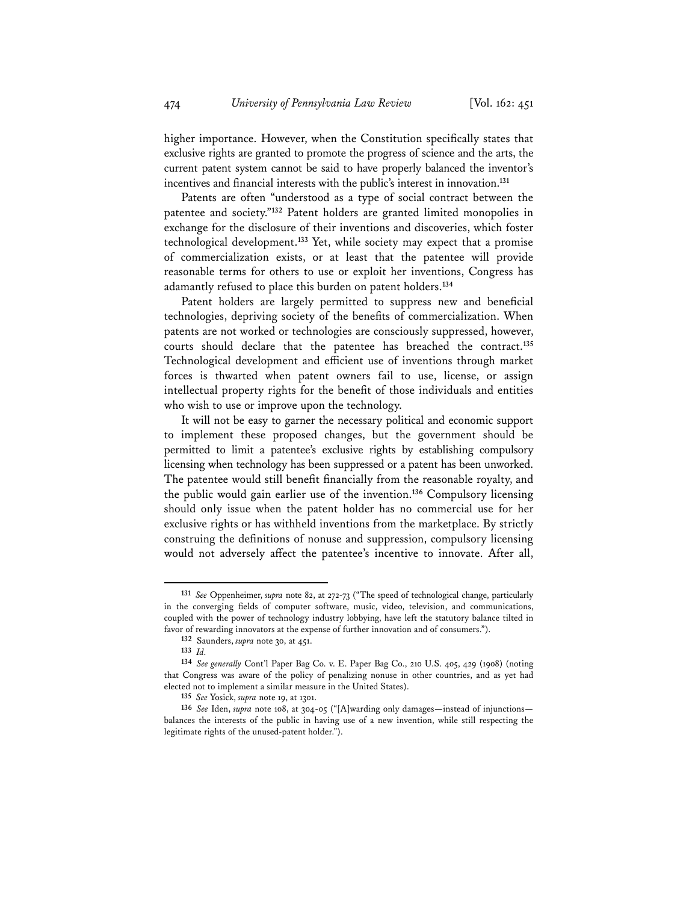higher importance. However, when the Constitution specifically states that exclusive rights are granted to promote the progress of science and the arts, the current patent system cannot be said to have properly balanced the inventor's incentives and financial interests with the public's interest in innovation.**<sup>131</sup>**

Patents are often "understood as a type of social contract between the patentee and society."**<sup>132</sup>** Patent holders are granted limited monopolies in exchange for the disclosure of their inventions and discoveries, which foster technological development.**<sup>133</sup>** Yet, while society may expect that a promise of commercialization exists, or at least that the patentee will provide reasonable terms for others to use or exploit her inventions, Congress has adamantly refused to place this burden on patent holders.**<sup>134</sup>**

Patent holders are largely permitted to suppress new and beneficial technologies, depriving society of the benefits of commercialization. When patents are not worked or technologies are consciously suppressed, however, courts should declare that the patentee has breached the contract.**<sup>135</sup>** Technological development and efficient use of inventions through market forces is thwarted when patent owners fail to use, license, or assign intellectual property rights for the benefit of those individuals and entities who wish to use or improve upon the technology.

It will not be easy to garner the necessary political and economic support to implement these proposed changes, but the government should be permitted to limit a patentee's exclusive rights by establishing compulsory licensing when technology has been suppressed or a patent has been unworked. The patentee would still benefit financially from the reasonable royalty, and the public would gain earlier use of the invention.**<sup>136</sup>** Compulsory licensing should only issue when the patent holder has no commercial use for her exclusive rights or has withheld inventions from the marketplace. By strictly construing the definitions of nonuse and suppression, compulsory licensing would not adversely affect the patentee's incentive to innovate. After all,

**<sup>131</sup>** *See* Oppenheimer, *supra* note 82, at 272-73 ("The speed of technological change, particularly in the converging fields of computer software, music, video, television, and communications, coupled with the power of technology industry lobbying, have left the statutory balance tilted in favor of rewarding innovators at the expense of further innovation and of consumers.").

**<sup>132</sup>** Saunders, *supra* note 30, at 451.

**<sup>133</sup>** *Id.*

**<sup>134</sup>** *See generally* Cont'l Paper Bag Co. v. E. Paper Bag Co., 210 U.S. 405, 429 (1908) (noting that Congress was aware of the policy of penalizing nonuse in other countries, and as yet had elected not to implement a similar measure in the United States).

**<sup>135</sup>** *See* Yosick, *supra* note 19, at 1301.

**<sup>136</sup>** *See* Iden, *supra* note 108, at 304-05 ("[A]warding only damages—instead of injunctions balances the interests of the public in having use of a new invention, while still respecting the legitimate rights of the unused-patent holder.").